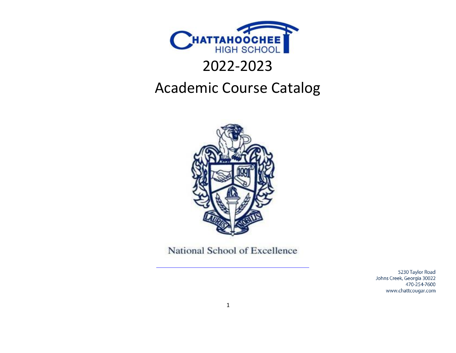

# 2022-2023

## <span id="page-0-0"></span>Academic Course Catalog



National School of Excellence

5230 Taylor Road Johns Creek, Georgia 30022 470-254-7600 www.chattcougar.com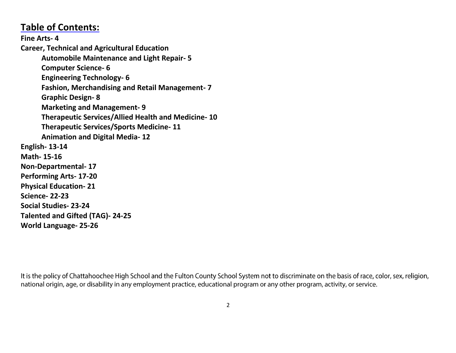### **Table of Contents:**

**Fine Arts- 4 Career, Technical and Agricultural Education Automobile Maintenance and Light Repair- 5 Computer Science- 6 Engineering Technology- 6 Fashion, Merchandising and Retail Management- 7 Graphic Design- 8 Marketing and Management- 9 Therapeutic Services/Allied Health and Medicine- 10 Therapeutic Services/Sports Medicine- 11 Animation and Digital Media- 12 English- 13-14 Math- 15-16 Non-Departmental- 17 Performing Arts- 17-20 Physical Education- 21 Science- 22-23 Social Studies- 23-24 Talented and Gifted (TAG)- 24-25 World Language- 25-26**

It is the policy of Chattahoochee High School and the Fulton County School System not to discriminate on the basis of race, color, sex, religion, national origin, age, or disability in any employment practice, educational program or any other program, activity, or service.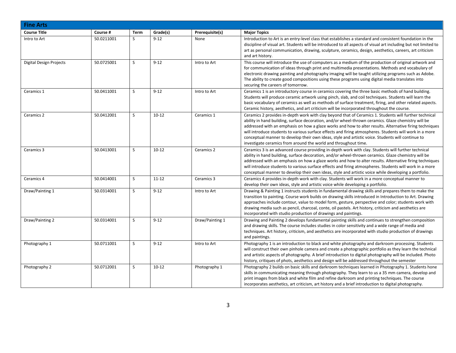| <b>Fine Arts</b>        |            |             |           |                 |                                                                                                                                                                                                                                                                                                                                                                                                                                                                                                                                                                                                             |
|-------------------------|------------|-------------|-----------|-----------------|-------------------------------------------------------------------------------------------------------------------------------------------------------------------------------------------------------------------------------------------------------------------------------------------------------------------------------------------------------------------------------------------------------------------------------------------------------------------------------------------------------------------------------------------------------------------------------------------------------------|
| <b>Course Title</b>     | Course #   | <b>Term</b> | Grade(s)  | Prerequisite(s) | <b>Major Topics</b>                                                                                                                                                                                                                                                                                                                                                                                                                                                                                                                                                                                         |
| Intro to Art            | 50.0211001 | S.          | $9 - 12$  | None            | Introduction to Art is an entry-level class that establishes a standard and consistent foundation in the<br>discipline of visual art. Students will be introduced to all aspects of visual art including but not limited to<br>art as personal communication, drawing, sculpture, ceramics, design, aesthetics, careers, art criticism<br>and art history.                                                                                                                                                                                                                                                  |
| Digital Design Projects | 50.0725001 | S           | $9 - 12$  | Intro to Art    | This course will introduce the use of computers as a medium of the production of original artwork and<br>for communication of ideas through print and multimedia presentations. Methods and vocabulary of<br>electronic drawing painting and photography imaging will be taught utilizing programs such as Adobe.<br>The ability to create good compositions using these programs using digital media translates into<br>securing the careers of tomorrow.                                                                                                                                                  |
| Ceramics 1              | 50.0411001 | S.          | $9 - 12$  | Intro to Art    | Ceramics 1 is an introductory course in ceramics covering the three basic methods of hand building.<br>Students will produce ceramic artwork using pinch, slab, and coil techniques. Students will learn the<br>basic vocabulary of ceramics as well as methods of surface treatment, firing, and other related aspects.<br>Ceramic history, aesthetics, and art criticism will be incorporated throughout the course.                                                                                                                                                                                      |
| Ceramics 2              | 50.0412001 | S           | $10 - 12$ | Ceramics 1      | Ceramics 2 provides in-depth work with clay beyond that of Ceramics 1. Students will further technical<br>ability in hand building, surface decoration, and/or wheel-thrown ceramics. Glaze chemistry will be<br>addressed with an emphasis on how a glaze works and how to alter results. Alternative firing techniques<br>will introduce students to various surface effects and firing atmospheres. Students will work in a more<br>conceptual manner to develop their own ideas, style and artistic voice. Students will continue to<br>investigate ceramics from around the world and throughout time. |
| Ceramics 3              | 50.0413001 | S           | $10 - 12$ | Ceramics 2      | Ceramics 3 is an advanced course providing in-depth work with clay. Students will further technical<br>ability in hand building, surface decoration, and/or wheel-thrown ceramics. Glaze chemistry will be<br>addressed with an emphasis on how a glaze works and how to alter results. Alternative firing techniques<br>will introduce students to various surface effects and firing atmospheres. Students will work in a more<br>conceptual manner to develop their own ideas, style and artistic voice while developing a portfolio.                                                                    |
| Ceramics 4              | 50.0414001 | S           | $11 - 12$ | Ceramics 3      | Ceramics 4 provides in-depth work with clay. Students will work in a more conceptual manner to<br>develop their own ideas, style and artistic voice while developing a portfolio.                                                                                                                                                                                                                                                                                                                                                                                                                           |
| Draw/Painting 1         | 50.0314001 | S           | $9 - 12$  | Intro to Art    | Drawing & Painting 1 instructs students in fundamental drawing skills and prepares them to make the<br>transition to painting. Course work builds on drawing skills introduced in Introduction to Art. Drawing<br>approaches include contour, value to model form, gesture, perspective and color; students work with<br>drawing media such as pencil, charcoal, conte, oil pastels. Art history, criticism and aesthetics are<br>incorporated with studio production of drawings and paintings.                                                                                                            |
| Draw/Painting 2         | 50.0314001 | S           | $9 - 12$  | Draw/Painting 1 | Drawing and Painting 2 develops fundamental painting skills and continues to strengthen composition<br>and drawing skills. The course includes studies in color sensitivity and a wide range of media and<br>techniques. Art history, criticism, and aesthetics are incorporated with studio production of drawings<br>and paintings.                                                                                                                                                                                                                                                                       |
| Photography 1           | 50.0711001 | S           | $9 - 12$  | Intro to Art    | Photography 1 is an introduction to black and white photography and darkroom processing. Students<br>will construct their own pinhole camera and create a photographic portfolio as they learn the technical<br>and artistic aspects of photography. A brief introduction to digital photography will be included. Photo<br>history, critiques of phots, aesthetics and design will be addressed throughout the semester                                                                                                                                                                                    |
| Photography 2           | 50.0712001 | S           | $10 - 12$ | Photography 1   | Photography 2 builds on basic skills and darkroom techniques learned in Photography 1. Students hone<br>skills in communicating meaning through photography. They learn to us a 35 mm camera, develop and<br>print images from black and white film and refine darkroom and printing techniques. The course<br>incorporates aesthetics, art criticism, art history and a brief introduction to digital photography.                                                                                                                                                                                         |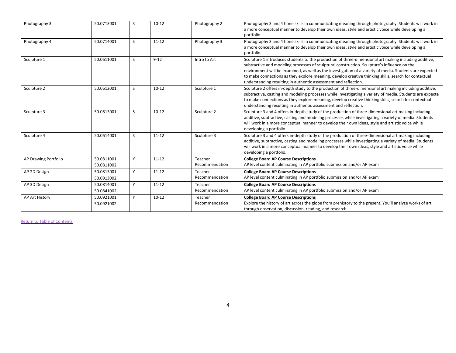| Photography 3        | 50.0713001               | S  | $10 - 12$ | Photography 2             | Photography 3 and 4 hone skills in communicating meaning through photography. Students will work in<br>a more conceptual manner to develop their own ideas, style and artistic voice while developing a<br>portfolio.                                                                                                                                                                                                                                                                      |
|----------------------|--------------------------|----|-----------|---------------------------|--------------------------------------------------------------------------------------------------------------------------------------------------------------------------------------------------------------------------------------------------------------------------------------------------------------------------------------------------------------------------------------------------------------------------------------------------------------------------------------------|
| Photography 4        | 50.0714001               | S. | $11 - 12$ | Photography 3             | Photography 3 and 4 hone skills in communicating meaning through photography. Students will work in<br>a more conceptual manner to develop their own ideas, style and artistic voice while developing a<br>portfolio.                                                                                                                                                                                                                                                                      |
| Sculpture 1          | 50.0611001               | S. | $9 - 12$  | Intro to Art              | Sculpture 1 introduces students to the production of three-dimensional art making including additive,<br>subtractive and modeling processes of sculptural construction. Sculpture's influence on the<br>environment will be examined, as well as the investigation of a variety of media. Students are expected<br>to make connections as they explore meaning, develop creative thinking skills, search for contextual<br>understanding resulting in authentic assessment and reflection. |
| Sculpture 2          | 50.0612001               | S  | $10 - 12$ | Sculpture 1               | Sculpture 2 offers in-depth study to the production of three-dimensional art making including additive,<br>subtractive, casting and modeling processes while investigating a variety of media. Students are expecte<br>to make connections as they explore meaning, develop creative thinking skills, search for contextual<br>understanding resulting in authentic assessment and reflection.                                                                                             |
| Sculpture 3          | 50.0613001               | S  | $10 - 12$ | Sculpture 2               | Sculpture 3 and 4 offers in-depth study of the production of three-dimensional art making including<br>additive, subtractive, casting and modeling processes while investigating a variety of media. Students<br>will work in a more conceptual manner to develop their own ideas, style and artistic voice while<br>developing a portfolio.                                                                                                                                               |
| Sculpture 4          | 50.0614001               | S  | $11 - 12$ | Sculpture 3               | Sculpture 3 and 4 offers in-depth study of the production of three-dimensional art making including<br>additive, subtractive, casting and modeling processes while investigating a variety of media. Students<br>will work in a more conceptual manner to develop their own ideas, style and artistic voice while<br>developing a portfolio.                                                                                                                                               |
| AP Drawing Portfolio | 50.0811001<br>50.0811002 | Y  | $11 - 12$ | Teacher<br>Recommendation | <b>College Board AP Course Descriptions</b><br>AP level content culminating in AP portfolio submission and/or AP exam                                                                                                                                                                                                                                                                                                                                                                      |
| AP 2D Design         | 50.0813001<br>50.0913002 | Y  | $11 - 12$ | Teacher<br>Recommendation | <b>College Board AP Course Descriptions</b><br>AP level content culminating in AP portfolio submission and/or AP exam                                                                                                                                                                                                                                                                                                                                                                      |
| AP 3D Design         | 50.0814001<br>50.0841002 | Y  | $11 - 12$ | Teacher<br>Recommendation | <b>College Board AP Course Descriptions</b><br>AP level content culminating in AP portfolio submission and/or AP exam                                                                                                                                                                                                                                                                                                                                                                      |
| AP Art History       | 50.0921001<br>50.0921002 | Y  | $10 - 12$ | Teacher<br>Recommendation | <b>College Board AP Course Descriptions</b><br>Explore the history of art across the globe from prehistory to the present. You'll analyze works of art<br>through observation, discussion, reading, and research.                                                                                                                                                                                                                                                                          |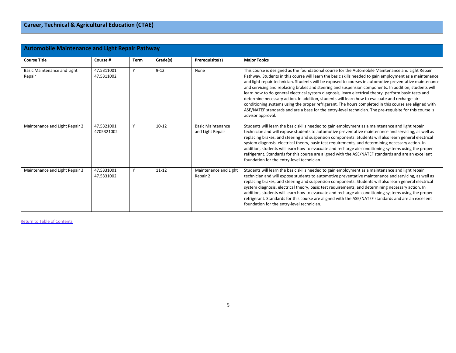| <b>Automobile Maintenance and Light Repair Pathway</b> |                          |             |           |                                              |                                                                                                                                                                                                                                                                                                                                                                                                                                                                                                                                                                                                                                                                                                                                                                                                                                                                                        |  |  |  |  |
|--------------------------------------------------------|--------------------------|-------------|-----------|----------------------------------------------|----------------------------------------------------------------------------------------------------------------------------------------------------------------------------------------------------------------------------------------------------------------------------------------------------------------------------------------------------------------------------------------------------------------------------------------------------------------------------------------------------------------------------------------------------------------------------------------------------------------------------------------------------------------------------------------------------------------------------------------------------------------------------------------------------------------------------------------------------------------------------------------|--|--|--|--|
| <b>Course Title</b>                                    | Course #                 | <b>Term</b> | Grade(s)  | Prerequisite(s)                              | <b>Major Topics</b>                                                                                                                                                                                                                                                                                                                                                                                                                                                                                                                                                                                                                                                                                                                                                                                                                                                                    |  |  |  |  |
| Basic Maintenance and Light<br>Repair                  | 47.5311001<br>47.5311002 |             | $9 - 12$  | None                                         | This course is designed as the foundational course for the Automobile Maintenance and Light Repair<br>Pathway. Students in this course will learn the basic skills needed to gain employment as a maintenance<br>and light repair technician. Students will be exposed to courses in automotive preventative maintenance<br>and servicing and replacing brakes and steering and suspension components. In addition, students will<br>learn how to do general electrical system diagnosis, learn electrical theory, perform basic tests and<br>determine necessary action. In addition, students will learn how to evacuate and recharge air-<br>conditioning systems using the proper refrigerant. The hours completed in this course are aligned with<br>ASE/NATEF standards and are a base for the entry-level technician. The pre-requisite for this course is<br>advisor approval. |  |  |  |  |
| Maintenance and Light Repair 2                         | 47.5321001<br>4705321002 |             | $10 - 12$ | <b>Basic Maintenance</b><br>and Light Repair | Students will learn the basic skills needed to gain employment as a maintenance and light repair<br>technician and will expose students to automotive preventative maintenance and servicing, as well as<br>replacing brakes, and steering and suspension components. Students will also learn general electrical<br>system diagnosis, electrical theory, basic test requirements, and determining necessary action. In<br>addition, students will learn how to evacuate and recharge air-conditioning systems using the proper<br>refrigerant. Standards for this course are aligned with the ASE/NATEF standards and are an excellent<br>foundation for the entry-level technician.                                                                                                                                                                                                  |  |  |  |  |
| Maintenance and Light Repair 3                         | 47.5331001<br>47.5331002 | v.          | $11 - 12$ | Maintenance and Light<br>Repair 2            | Students will learn the basic skills needed to gain employment as a maintenance and light repair<br>technician and will expose students to automotive preventative maintenance and servicing, as well as<br>replacing brakes, and steering and suspension components. Students will also learn general electrical<br>system diagnosis, electrical theory, basic test requirements, and determining necessary action. In<br>addition, students will learn how to evacuate and recharge air-conditioning systems using the proper<br>refrigerant. Standards for this course are aligned with the ASE/NATEF standards and are an excellent<br>foundation for the entry-level technician.                                                                                                                                                                                                  |  |  |  |  |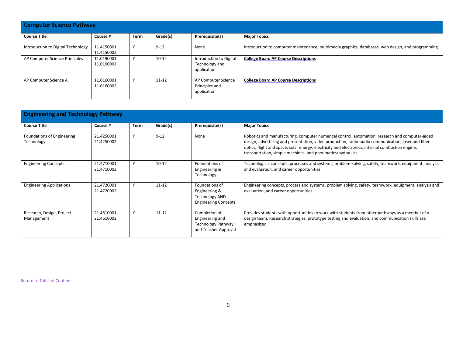| <b>Computer Science Pathway</b>    |                          |              |           |                                                          |                                                                                                   |  |  |  |  |
|------------------------------------|--------------------------|--------------|-----------|----------------------------------------------------------|---------------------------------------------------------------------------------------------------|--|--|--|--|
| <b>Course Title</b>                | Course #                 | Term         | Grade(s)  | Prerequisite(s)                                          | <b>Major Topics</b>                                                                               |  |  |  |  |
| Introduction to Digital Technology | 11.4150001<br>11.4150002 | $\mathbf{v}$ | $9 - 12$  | None                                                     | Introduction to computer maintenance, multimedia graphics, databases, web design, and programming |  |  |  |  |
| AP Computer Science Principles     | 11.0190001<br>11.0190002 |              | $10 - 12$ | Introduction to Digital<br>Technology and<br>application | <b>College Board AP Course Descriptions</b>                                                       |  |  |  |  |
| AP Computer Science A              | 11.0160001<br>11.0160002 |              | $11 - 12$ | AP Computer Science<br>Principles and<br>application     | <b>College Board AP Course Descriptions</b>                                                       |  |  |  |  |

| <b>Engineering and Technology Pathway</b> |                          |             |           |                                                                                         |                                                                                                                                                                                                                                                                                                                                                                         |  |  |  |  |
|-------------------------------------------|--------------------------|-------------|-----------|-----------------------------------------------------------------------------------------|-------------------------------------------------------------------------------------------------------------------------------------------------------------------------------------------------------------------------------------------------------------------------------------------------------------------------------------------------------------------------|--|--|--|--|
| <b>Course Title</b>                       | Course #                 | <b>Term</b> | Grade(s)  | Prerequisite(s)                                                                         | <b>Major Topics</b>                                                                                                                                                                                                                                                                                                                                                     |  |  |  |  |
| Foundations of Engineering<br>Technology  | 21.4250001<br>21.4250002 | Y           | $9 - 12$  | None                                                                                    | Robotics and manufacturing, computer numerical control, automation, research and computer-aided<br>design, advertising and presentation, video production, radio-audio communication, laser and fiber<br>optics, flight and space, solar energy, electricity and electronics, internal combustion engine,<br>transportation, simple machines, and pneumatics/hydraulics |  |  |  |  |
| <b>Engineering Concepts</b>               | 21.4710001<br>21.4710002 | Y           | $10 - 12$ | Foundations of<br>Engineering &<br>Technology                                           | Technological concepts, processes and systems, problem-solving, safety, teamwork, equipment, analysis<br>and evaluation, and career opportunities.                                                                                                                                                                                                                      |  |  |  |  |
| <b>Engineering Applications</b>           | 21.4720001<br>21.4720002 | Y           | $11 - 12$ | Foundations of<br>Engineering &<br><b>Technology AND</b><br><b>Engineering Concepts</b> | Engineering concepts, process and systems, problem solving, safety, teamwork, equipment, analysis and<br>evaluation, and career opportunities.                                                                                                                                                                                                                          |  |  |  |  |
| Research, Design, Project<br>Management   | 21.4610001<br>21.4610002 | Y           | $11 - 12$ | Completion of<br>Engineering and<br><b>Technology Pathway</b><br>and Teacher Approval   | Provides students with opportunities to work with students from other pathways as a member of a<br>design team. Research strategies, prototype testing and evaluation, and communication skills are<br>emphasized                                                                                                                                                       |  |  |  |  |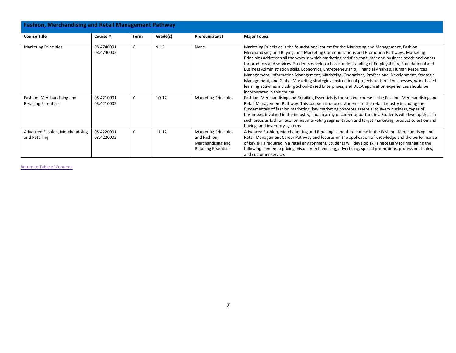| <b>Fashion, Merchandising and Retail Management Pathway</b> |                          |              |           |                                                                                                 |                                                                                                                                                                                                                                                                                                                                                                                                                                                                                                                                                                                                                                                                                                                                                                                                                                                           |  |  |  |  |
|-------------------------------------------------------------|--------------------------|--------------|-----------|-------------------------------------------------------------------------------------------------|-----------------------------------------------------------------------------------------------------------------------------------------------------------------------------------------------------------------------------------------------------------------------------------------------------------------------------------------------------------------------------------------------------------------------------------------------------------------------------------------------------------------------------------------------------------------------------------------------------------------------------------------------------------------------------------------------------------------------------------------------------------------------------------------------------------------------------------------------------------|--|--|--|--|
| <b>Course Title</b>                                         | Course #                 | Term         | Grade(s)  | Prerequisite(s)                                                                                 | <b>Major Topics</b>                                                                                                                                                                                                                                                                                                                                                                                                                                                                                                                                                                                                                                                                                                                                                                                                                                       |  |  |  |  |
| <b>Marketing Principles</b>                                 | 08.4740001<br>08.4740002 |              | $9 - 12$  | None                                                                                            | Marketing Principles is the foundational course for the Marketing and Management, Fashion<br>Merchandising and Buying, and Marketing Communications and Promotion Pathways. Marketing<br>Principles addresses all the ways in which marketing satisfies consumer and business needs and wants<br>for products and services. Students develop a basic understanding of Employability, Foundational and<br>Business Administration skills, Economics, Entrepreneurship, Financial Analysis, Human Resources<br>Management, Information Management, Marketing, Operations, Professional Development, Strategic<br>Management, and Global Marketing strategies. Instructional projects with real businesses, work-based<br>learning activities including School-Based Enterprises, and DECA application experiences should be<br>incorporated in this course. |  |  |  |  |
| Fashion, Merchandising and<br><b>Retailing Essentials</b>   | 08.4210001<br>08.4210002 | $\mathsf{v}$ | $10 - 12$ | <b>Marketing Principles</b>                                                                     | Fashion, Merchandising and Retailing Essentials is the second course in the Fashion, Merchandising and<br>Retail Management Pathway. This course introduces students to the retail industry including the<br>fundamentals of fashion marketing, key marketing concepts essential to every business, types of<br>businesses involved in the industry, and an array of career opportunities. Students will develop skills in<br>such areas as fashion economics, marketing segmentation and target marketing, product selection and<br>buying, and inventory systems.                                                                                                                                                                                                                                                                                       |  |  |  |  |
| Advanced Fashion, Merchandising<br>and Retailing            | 08.4220001<br>08.4220002 |              | $11 - 12$ | <b>Marketing Principles</b><br>and Fashion,<br>Merchandising and<br><b>Retailing Essentials</b> | Advanced Fashion, Merchandising and Retailing is the third course in the Fashion, Merchandising and<br>Retail Management Career Pathway and focuses on the application of knowledge and the performance<br>of key skills required in a retail environment. Students will develop skills necessary for managing the<br>following elements: pricing, visual merchandising, advertising, special promotions, professional sales,<br>and customer service.                                                                                                                                                                                                                                                                                                                                                                                                    |  |  |  |  |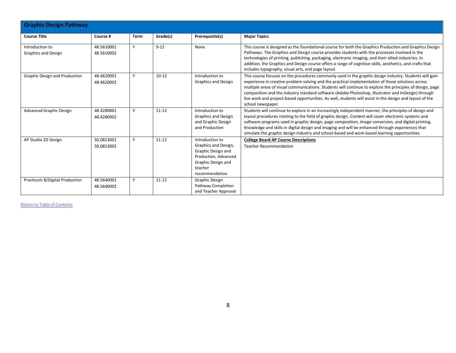| <b>Graphic Design Pathway</b>                 |                          |             |           |                                                                                                                                          |                                                                                                                                                                                                                                                                                                                                                                                                                                                                                                                                                                 |  |  |  |  |
|-----------------------------------------------|--------------------------|-------------|-----------|------------------------------------------------------------------------------------------------------------------------------------------|-----------------------------------------------------------------------------------------------------------------------------------------------------------------------------------------------------------------------------------------------------------------------------------------------------------------------------------------------------------------------------------------------------------------------------------------------------------------------------------------------------------------------------------------------------------------|--|--|--|--|
| <b>Course Title</b>                           | Course #                 | <b>Term</b> | Grade(s)  | Prerequisite(s)                                                                                                                          | <b>Major Topics</b>                                                                                                                                                                                                                                                                                                                                                                                                                                                                                                                                             |  |  |  |  |
| Introduction to<br><b>Graphics and Design</b> | 48.5610001<br>48.5610002 | Y           | $9 - 12$  | None                                                                                                                                     | This course is designed as the foundational course for both the Graphics Production and Graphics Design<br>Pathways. The Graphics and Design course provides students with the processes involved in the<br>technologies of printing, publishing, packaging, electronic imaging, and their allied industries. In<br>addition, the Graphics and Design course offers a range of cognitive skills, aesthetics, and crafts that<br>includes typography, visual arts, and page layout.                                                                              |  |  |  |  |
| Graphic Design and Production                 | 48.4620001<br>48.4620002 | ٧           | $10 - 12$ | Introduction to<br><b>Graphics and Design</b>                                                                                            | This course focuses on the procedures commonly used in the graphic design industry. Students will gain<br>experience in creative problem solving and the practical implementation of those solutions across<br>multiple areas of visual communications. Students will continue to explore the principles of design, page<br>composition and the industry standard software (Adobe Photoshop, Illustrator and InDesign) through<br>live work and project-based opportunities. As well, students will assist in the design and layout of the<br>school newspaper. |  |  |  |  |
| <b>Advanced Graphic Design</b>                | 48.4280001<br>48.4280002 | Y           | $11 - 12$ | Introduction to<br><b>Graphics and Design</b><br>and Graphic Design<br>and Production                                                    | Students will continue to explore in an increasingly independent manner, the principles of design and<br>layout procedures relating to the field of graphic design. Content will cover electronic systems and<br>software programs used in graphic design, page composition, image conversion, and digital printing.<br>Knowledge and skills in digital design and imaging and will be enhanced through experiences that<br>simulate the graphic design industry and school-based and work-based learning opportunities.                                        |  |  |  |  |
| AP Studio 2D Design                           | 50.0813001<br>50.0813002 |             | $11 - 12$ | Introduction to<br>Graphics and Design,<br>Graphic Design and<br>Production, Advanced<br>Graphic Design and<br>teacher<br>recommendation | <b>College Board AP Course Descriptions</b><br><b>Teacher Recommendation</b>                                                                                                                                                                                                                                                                                                                                                                                                                                                                                    |  |  |  |  |
| Practicum B/Digital Production                | 48.5640001<br>48.5640002 | Y           | $11 - 12$ | <b>Graphic Design</b><br>Pathway Completion<br>and Teacher Approval                                                                      |                                                                                                                                                                                                                                                                                                                                                                                                                                                                                                                                                                 |  |  |  |  |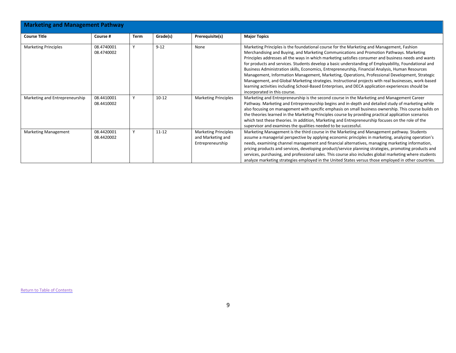| <b>Marketing and Management Pathway</b> |                          |      |           |                                                                      |                                                                                                                                                                                                                                                                                                                                                                                                                                                                                                                                                                                                                                                                                                                                                                                                                                                           |  |  |  |  |
|-----------------------------------------|--------------------------|------|-----------|----------------------------------------------------------------------|-----------------------------------------------------------------------------------------------------------------------------------------------------------------------------------------------------------------------------------------------------------------------------------------------------------------------------------------------------------------------------------------------------------------------------------------------------------------------------------------------------------------------------------------------------------------------------------------------------------------------------------------------------------------------------------------------------------------------------------------------------------------------------------------------------------------------------------------------------------|--|--|--|--|
| <b>Course Title</b>                     | Course #                 | Term | Grade(s)  | Prerequisite(s)                                                      | <b>Major Topics</b>                                                                                                                                                                                                                                                                                                                                                                                                                                                                                                                                                                                                                                                                                                                                                                                                                                       |  |  |  |  |
| <b>Marketing Principles</b>             | 08.4740001<br>08.4740002 |      | $9 - 12$  | None                                                                 | Marketing Principles is the foundational course for the Marketing and Management, Fashion<br>Merchandising and Buying, and Marketing Communications and Promotion Pathways. Marketing<br>Principles addresses all the ways in which marketing satisfies consumer and business needs and wants<br>for products and services. Students develop a basic understanding of Employability, Foundational and<br>Business Administration skills, Economics, Entrepreneurship, Financial Analysis, Human Resources<br>Management, Information Management, Marketing, Operations, Professional Development, Strategic<br>Management, and Global Marketing strategies. Instructional projects with real businesses, work-based<br>learning activities including School-Based Enterprises, and DECA application experiences should be<br>incorporated in this course. |  |  |  |  |
| Marketing and Entrepreneurship          | 08.4410001<br>08.4410002 |      | $10 - 12$ | <b>Marketing Principles</b>                                          | Marketing and Entrepreneurship is the second course in the Marketing and Management Career<br>Pathway. Marketing and Entrepreneurship begins and in-depth and detailed study of marketing while<br>also focusing on management with specific emphasis on small business ownership. This course builds on<br>the theories learned in the Marketing Principles course by providing practical application scenarios<br>which test these theories. In addition, Marketing and Entrepreneurship focuses on the role of the<br>supervisor and examines the qualities needed to be successful.                                                                                                                                                                                                                                                                   |  |  |  |  |
| <b>Marketing Management</b>             | 08.4420001<br>08.4420002 | v    | $11 - 12$ | <b>Marketing Principles</b><br>and Marketing and<br>Entrepreneurship | Marketing Management is the third course in the Marketing and Management pathway. Students<br>assume a managerial perspective by applying economic principles in marketing, analyzing operation's<br>needs, examining channel management and financial alternatives, managing marketing information,<br>pricing products and services, developing product/service planning strategies, promoting products and<br>services, purchasing, and professional sales. This course also includes global marketing where students<br>analyze marketing strategies employed in the United States versus those employed in other countries.                                                                                                                                                                                                                          |  |  |  |  |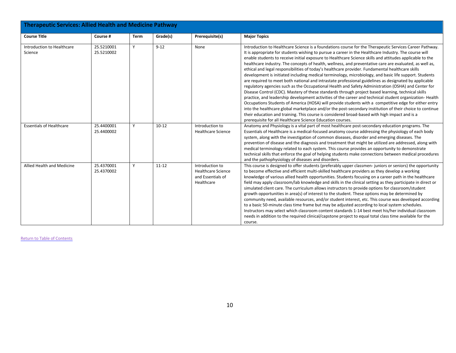| <b>Therapeutic Services: Allied Health and Medicine Pathway</b> |                          |             |           |                                                                                 |                                                                                                                                                                                                                                                                                                                                                                                                                                                                                                                                                                                                                                                                                                                                                                                                                                                                                                                                                                                                                                                                                                                                                                                                                                                                                                                                                                                                                                                                            |  |  |  |
|-----------------------------------------------------------------|--------------------------|-------------|-----------|---------------------------------------------------------------------------------|----------------------------------------------------------------------------------------------------------------------------------------------------------------------------------------------------------------------------------------------------------------------------------------------------------------------------------------------------------------------------------------------------------------------------------------------------------------------------------------------------------------------------------------------------------------------------------------------------------------------------------------------------------------------------------------------------------------------------------------------------------------------------------------------------------------------------------------------------------------------------------------------------------------------------------------------------------------------------------------------------------------------------------------------------------------------------------------------------------------------------------------------------------------------------------------------------------------------------------------------------------------------------------------------------------------------------------------------------------------------------------------------------------------------------------------------------------------------------|--|--|--|
| <b>Course Title</b>                                             | Course #                 | <b>Term</b> | Grade(s)  | Prerequisite(s)                                                                 | <b>Major Topics</b>                                                                                                                                                                                                                                                                                                                                                                                                                                                                                                                                                                                                                                                                                                                                                                                                                                                                                                                                                                                                                                                                                                                                                                                                                                                                                                                                                                                                                                                        |  |  |  |
| Introduction to Healthcare<br>Science                           | 25.5210001<br>25.5210002 | Y           | $9 - 12$  | None                                                                            | Introduction to Healthcare Science is a foundations course for the Therapeutic Services Career Pathway.<br>It is appropriate for students wishing to pursue a career in the Healthcare Industry. The course will<br>enable students to receive initial exposure to Healthcare Science skills and attitudes applicable to the<br>healthcare industry. The concepts of health, wellness, and preventative care are evaluated, as well as,<br>ethical and legal responsibilities of today's healthcare provider. Fundamental healthcare skills<br>development is initiated including medical terminology, microbiology, and basic life support. Students<br>are required to meet both national and intrastate professional guidelines as designated by applicable<br>regulatory agencies such as the Occupational Health and Safety Administration (OSHA) and Center for<br>Disease Control (CDC). Mastery of these standards through project based learning, technical skills<br>practice, and leadership development activities of the career and technical student organization-Health<br>Occupations Students of America (HOSA) will provide students with a competitive edge for either entry<br>into the healthcare global marketplace and/or the post-secondary institution of their choice to continue<br>their education and training. This course is considered broad-based with high impact and is a<br>prerequisite for all Healthcare Science Education courses. |  |  |  |
| <b>Essentials of Healthcare</b>                                 | 25.4400001<br>25.4400002 | Y           | $10 - 12$ | Introduction to<br><b>Healthcare Science</b>                                    | Anatomy and Physiology is a vital part of most healthcare post-secondary education programs. The<br>Essentials of Healthcare is a medical-focused anatomy course addressing the physiology of each body<br>system, along with the investigation of common diseases, disorder and emerging diseases. The<br>prevention of disease and the diagnosis and treatment that might be utilized are addressed, along with<br>medical terminology related to each system. This course provides an opportunity to demonstrate<br>technical skills that enforce the goal of helping students make connections between medical procedures<br>and the pathophysiology of diseases and disorders.                                                                                                                                                                                                                                                                                                                                                                                                                                                                                                                                                                                                                                                                                                                                                                                        |  |  |  |
| Allied Health and Medicine                                      | 25.4370001<br>25.4370002 | Y           | $11 - 12$ | Introduction to<br><b>Healthcare Science</b><br>and Essentials of<br>Healthcare | This course is designed to offer students (preferably upper classmen- juniors or seniors) the opportunity<br>to become effective and efficient multi-skilled healthcare providers as they develop a working<br>knowledge of various allied health opportunities. Students focusing on a career path in the healthcare<br>field may apply classroom/lab knowledge and skills in the clinical setting as they participate in direct or<br>simulated client care. The curriculum allows instructors to provide options for classroom/student<br>growth opportunities in area(s) of interest to the student. These options may be determined by<br>community need, available resources, and/or student interest, etc. This course was developed according<br>to a basic 50-minute class time frame but may be adjusted according to local system schedules.<br>Instructors may select which classroom content standards 1-14 best meet his/her individual classroom<br>needs in addition to the required clinical/capstone project to equal total class time available for the<br>course.                                                                                                                                                                                                                                                                                                                                                                                      |  |  |  |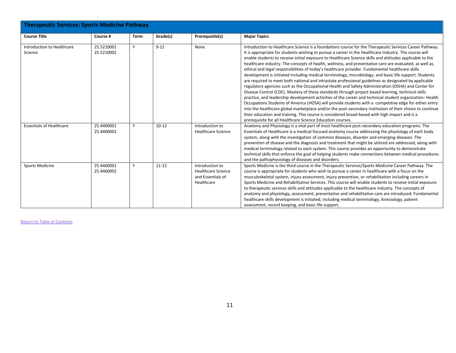| Therapeutic Services: Sports Medicine Pathway |                          |      |           |                                                                                 |                                                                                                                                                                                                                                                                                                                                                                                                                                                                                                                                                                                                                                                                                                                                                                                                                                                                                                                                                                                                                                                                                                                                                                                                                                                                                                                                                                                                                                                                            |  |  |  |  |
|-----------------------------------------------|--------------------------|------|-----------|---------------------------------------------------------------------------------|----------------------------------------------------------------------------------------------------------------------------------------------------------------------------------------------------------------------------------------------------------------------------------------------------------------------------------------------------------------------------------------------------------------------------------------------------------------------------------------------------------------------------------------------------------------------------------------------------------------------------------------------------------------------------------------------------------------------------------------------------------------------------------------------------------------------------------------------------------------------------------------------------------------------------------------------------------------------------------------------------------------------------------------------------------------------------------------------------------------------------------------------------------------------------------------------------------------------------------------------------------------------------------------------------------------------------------------------------------------------------------------------------------------------------------------------------------------------------|--|--|--|--|
| <b>Course Title</b>                           | Course #                 | Term | Grade(s)  | Prerequisite(s)                                                                 | <b>Major Topics</b>                                                                                                                                                                                                                                                                                                                                                                                                                                                                                                                                                                                                                                                                                                                                                                                                                                                                                                                                                                                                                                                                                                                                                                                                                                                                                                                                                                                                                                                        |  |  |  |  |
| Introduction to Healthcare<br>Science         | 25.5210001<br>25.5210002 | Y    | $9 - 12$  | None                                                                            | Introduction to Healthcare Science is a foundations course for the Therapeutic Services Career Pathway.<br>It is appropriate for students wishing to pursue a career in the Healthcare Industry. The course will<br>enable students to receive initial exposure to Healthcare Science skills and attitudes applicable to the<br>healthcare industry. The concepts of health, wellness, and preventative care are evaluated, as well as,<br>ethical and legal responsibilities of today's healthcare provider. Fundamental healthcare skills<br>development is initiated including medical terminology, microbiology, and basic life support. Students<br>are required to meet both national and intrastate professional guidelines as designated by applicable<br>regulatory agencies such as the Occupational Health and Safety Administration (OSHA) and Center for<br>Disease Control (CDC). Mastery of these standards through project based learning, technical skills<br>practice, and leadership development activities of the career and technical student organization-Health<br>Occupations Students of America (HOSA) will provide students with a competitive edge for either entry<br>into the healthcare global marketplace and/or the post-secondary institution of their choice to continue<br>their education and training. This course is considered broad-based with high impact and is a<br>prerequisite for all Healthcare Science Education courses. |  |  |  |  |
| <b>Essentials of Healthcare</b>               | 25.4400001<br>25.4400002 | Y    | $10 - 12$ | Introduction to<br><b>Healthcare Science</b>                                    | Anatomy and Physiology is a vital part of most healthcare post-secondary education programs. The<br>Essentials of Healthcare is a medical-focused anatomy course addressing the physiology of each body<br>system, along with the investigation of common diseases, disorder and emerging diseases. The<br>prevention of disease and the diagnosis and treatment that might be utilized are addressed, along with<br>medical terminology related to each system. This course provides an opportunity to demonstrate<br>technical skills that enforce the goal of helping students make connections between medical procedures<br>and the pathophysiology of diseases and disorders.                                                                                                                                                                                                                                                                                                                                                                                                                                                                                                                                                                                                                                                                                                                                                                                        |  |  |  |  |
| <b>Sports Medicine</b>                        | 25.4460001<br>25.4460002 | Y    | $11 - 12$ | Introduction to<br><b>Healthcare Science</b><br>and Essentials of<br>Healthcare | Sports Medicine is the third course in the Therapeutic Services/Sports Medicine Career Pathway. The<br>course is appropriate for students who wish to pursue a career in healthcare with a focus on the<br>musculoskeletal system, injury assessment, injury prevention, or rehabilitation including careers in<br>Sports Medicine and Rehabilitative Services. This course will enable students to receive initial exposure<br>to therapeutic services skills and attitudes applicable to the healthcare industry. The concepts of<br>anatomy and physiology, assessment, preventative and rehabilitative care are introduced. Fundamental<br>healthcare skills development is initiated, including medical terminology, kinesiology, patient<br>assessment, record keeping, and basic life support.                                                                                                                                                                                                                                                                                                                                                                                                                                                                                                                                                                                                                                                                      |  |  |  |  |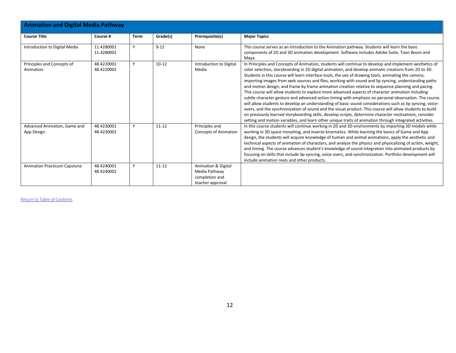| <b>Animation and Digital Media Pathway</b> |                          |             |           |                                                                            |                                                                                                                                                                                                                                                                                                                                                                                                                                                                                                                                                                                                                                                                                                                                                                                                                                                                                                                                                                                                                                                                                                                                                                                                  |
|--------------------------------------------|--------------------------|-------------|-----------|----------------------------------------------------------------------------|--------------------------------------------------------------------------------------------------------------------------------------------------------------------------------------------------------------------------------------------------------------------------------------------------------------------------------------------------------------------------------------------------------------------------------------------------------------------------------------------------------------------------------------------------------------------------------------------------------------------------------------------------------------------------------------------------------------------------------------------------------------------------------------------------------------------------------------------------------------------------------------------------------------------------------------------------------------------------------------------------------------------------------------------------------------------------------------------------------------------------------------------------------------------------------------------------|
| <b>Course Title</b>                        | Course #                 | <b>Term</b> | Grade(s)  | Prerequisite(s)                                                            | <b>Major Topics</b>                                                                                                                                                                                                                                                                                                                                                                                                                                                                                                                                                                                                                                                                                                                                                                                                                                                                                                                                                                                                                                                                                                                                                                              |
| Introduction to Digital Media              | 11.4280001<br>11.4280002 | Y           | $9 - 12$  | None                                                                       | This course serves as an introduction to the Animation pathway. Students will learn the basic<br>components of 2D and 3D animation development. Software includes Adobe Suite, Toon Boom and<br>Maya.                                                                                                                                                                                                                                                                                                                                                                                                                                                                                                                                                                                                                                                                                                                                                                                                                                                                                                                                                                                            |
| Principles and Concepts of<br>Animation    | 48.4220001<br>48.4220002 | Υ           | $10 - 12$ | Introduction to Digital<br>Media                                           | In Principles and Concepts of Animation, students will continue to develop and implement aesthetics of<br>color selection, storyboarding in 2D digital animation, and develop animatic creations from 2D to 3D.<br>Students in this course will learn interface tools, the use of drawing tools, animating the camera,<br>importing images from web sources and files, working with sound and lip syncing, understanding paths<br>and motion design, and frame by frame animation creation relative to sequence planning and pacing.<br>This course will allow students to explore more advanced aspects of character animation including<br>subtle character gesture and advanced action timing with emphasis on personal observation. The course<br>will allow students to develop an understanding of basic sound considerations such as lip syncing, voice-<br>overs, and the synchronization of sound and the visual product. This course will allow students to build<br>on previously learned storyboarding skills, develop scripts, determine character motivations, consider<br>setting and motion variables, and learn other unique traits of animation through integrated activities. |
| Advanced Animation, Game and<br>App Design | 48.4230001<br>48.4230002 | Y           | $11 - 12$ | Principles and<br><b>Concepts of Animation</b>                             | In this course students will continue working in 2D and 3D environments by importing 3D models while<br>working in 3D space morphing, and inverse kinematics. While learning the basics of Game and App<br>design, the students will acquire knowledge of human and animal animations, apply the aesthetic and<br>technical aspects of animation of characters, and analyze the physics and physicalizing of action, weight,<br>and timing. The course advances student's knowledge of sound integration into animated products by<br>focusing on skills that include lip-syncing, voice overs, and synchronization. Portfolio development will<br>include animation reels and other products.                                                                                                                                                                                                                                                                                                                                                                                                                                                                                                   |
| <b>Animation Practicum Capstone</b>        | 48.4240001<br>48.4240002 | Y           | $11 - 12$ | Animation & Digital<br>Media Pathway<br>completion and<br>teacher approval |                                                                                                                                                                                                                                                                                                                                                                                                                                                                                                                                                                                                                                                                                                                                                                                                                                                                                                                                                                                                                                                                                                                                                                                                  |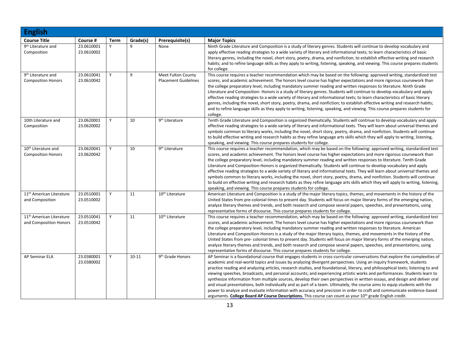| <b>English</b>                                                 |                          |      |           |                                                   |                                                                                                                                                                                                                                                                                                                                                                                                                                                                                                                                                                                                                                                                                                                                                                                                                                                                                                                                                                                                                                    |
|----------------------------------------------------------------|--------------------------|------|-----------|---------------------------------------------------|------------------------------------------------------------------------------------------------------------------------------------------------------------------------------------------------------------------------------------------------------------------------------------------------------------------------------------------------------------------------------------------------------------------------------------------------------------------------------------------------------------------------------------------------------------------------------------------------------------------------------------------------------------------------------------------------------------------------------------------------------------------------------------------------------------------------------------------------------------------------------------------------------------------------------------------------------------------------------------------------------------------------------------|
| <b>Course Title</b>                                            | Course #                 | Term | Grade(s)  | Prerequisite(s)                                   | <b>Major Topics</b>                                                                                                                                                                                                                                                                                                                                                                                                                                                                                                                                                                                                                                                                                                                                                                                                                                                                                                                                                                                                                |
| 9 <sup>th</sup> Literature and<br>Composition                  | 23.0610001<br>23.0610002 | Υ    | 9         | None                                              | Ninth Grade Literature and Composition is a study of literary genres. Students will continue to develop vocabulary and<br>apply effective reading strategies to a wide variety of literary and informational texts; to learn characteristics of basic<br>literary genres, including the novel, short story, poetry, drama, and nonfiction; to establish effective writing and research<br>habits; and to refine language skills as they apply to writing, listening, speaking, and viewing. This course prepares students<br>for college.                                                                                                                                                                                                                                                                                                                                                                                                                                                                                          |
| 9 <sup>th</sup> Literature and<br><b>Composition Honors</b>    | 23.0610041<br>23.0610042 | Y    | 9         | Meet Fulton County<br><b>Placement Guidelines</b> | This course requires a teacher recommendation which may be based on the following: approved writing, standardized test<br>scores, and academic achievement. The honors level course has higher expectations and more rigorous coursework than<br>the college preparatory level, including mandatory summer reading and written responses to literature. Ninth Grade<br>Literature and Composition-Honors is a study of literary genres. Students will continue to develop vocabulary and apply<br>effective reading strategies to a wide variety of literary and informational texts; to learn characteristics of basic literary<br>genres, including the novel, short story, poetry, drama, and nonfiction; to establish effective writing and research habits;<br>and to refine language skills as they apply to writing, listening, speaking, and viewing. This course prepares students for<br>college.                                                                                                                        |
| 10th Literature and<br>Composition                             | 23.0620001<br>23.0620002 | Y    | 10        | 9 <sup>th</sup> Literature                        | Tenth Grade Literature and Composition is organized thematically. Students will continue to develop vocabulary and apply<br>effective reading strategies to a wide variety of literary and informational texts. They will learn about universal themes and<br>symbols common to literary works, including the novel, short story, poetry, drama, and nonfiction. Students will continue<br>to build effective writing and research habits as they refine language arts skills which they will apply to writing, listening,<br>speaking, and viewing. This course prepares students for college.                                                                                                                                                                                                                                                                                                                                                                                                                                    |
| 10 <sup>th</sup> Literature and<br><b>Composition Honors</b>   | 23.0620041<br>23.0620042 | Y    | 10        | 9 <sup>th</sup> Literature                        | This course requires a teacher recommendation, which may be based on the following: approved writing, standardized test<br>scores, and academic achievement. The honors level course has higher expectations and more rigorous coursework than<br>the college preparatory level, including mandatory summer reading and written responses to literature. Tenth Grade<br>Literature and Composition-Honors is organized thematically. Students will continue to develop vocabulary and apply<br>effective reading strategies to a wide variety of literary and informational texts. They will learn about universal themes and<br>symbols common to literary works, including the novel, short story, poetry, drama, and nonfiction. Students will continue<br>to build on effective writing and research habits as they refine language arts skills which they will apply to writing, listening,<br>speaking, and viewing. This course prepares students for college.                                                              |
| 11 <sup>th</sup> American Literature<br>and Composition        | 23.0510001<br>23.0510002 | Y    | 11        | 10 <sup>th</sup> Literature                       | American Literature and Composition is a study of the major literary topics, themes, and movements in the history of the<br>United States from pre-colonial times to present day. Students will focus on major literary forms of the emerging nation,<br>analyze literary themes and trends, and both research and compose several papers, speeches, and presentations, using<br>representative forms of discourse. This course prepares students for college.                                                                                                                                                                                                                                                                                                                                                                                                                                                                                                                                                                     |
| 11 <sup>th</sup> American Literature<br>and Composition Honors | 23.0510041<br>23.0510042 | Y    | 11        | 10 <sup>th</sup> Literature                       | This course requires a teacher recommendation, which may be based on the following: approved writing, standardized test<br>scores, and academic achievement. The honors level course has higher expectations and more rigorous coursework than<br>the college preparatory level, including mandatory summer reading and written responses to literature. American<br>Literature and Composition-Honors is a study of the major literary topics, themes, and movements in the history of the<br>United States from pre-colonial times to present day. Students will focus on major literary forms of the emerging nation,<br>analyze literary themes and trends, and both research and compose several papers, speeches, and presentations, using<br>representative forms of discourse. This course prepares students for college.                                                                                                                                                                                                  |
| <b>AP Seminar ELA</b>                                          | 23.0380001<br>23.0380002 | Y    | $10 - 11$ | 9 <sup>th</sup> Grade Honors                      | AP Seminar is a foundational course that engages students in cross-curricular conversations that explore the complexities of<br>academic and real-world topics and issues by analyzing divergent perspectives. Using an inquiry framework, students<br>practice reading and analyzing articles, research studies, and foundational, literary, and philosophical texts; listening to and<br>viewing speeches, broadcasts, and personal accounts; and experiencing artistic works and performances. Students learn to<br>synthesize information from multiple sources, develop their own perspectives in written essays, and design and deliver oral<br>and visual presentations, both individually and as part of a team. Ultimately, the course aims to equip students with the<br>power to analyze and evaluate information with accuracy and precision in order to craft and communicate evidence-based<br>arguments. College Board AP Course Descriptions. This course can count as your 10 <sup>th</sup> grade English credit. |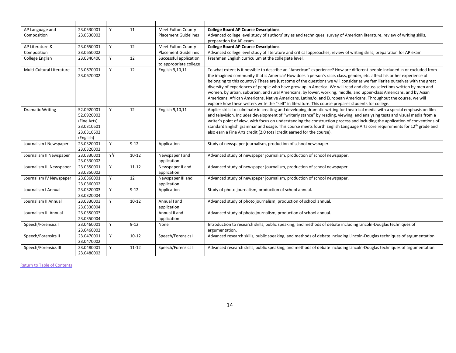| AP Language and           | 23.0530001                                                                       | Y  | 11        | Meet Fulton County                               | <b>College Board AP Course Descriptions</b>                                                                                                                                                                                                                                                                                                                                                                                                                                                                                                                                                                                                                                                                                                                                                                                                                   |
|---------------------------|----------------------------------------------------------------------------------|----|-----------|--------------------------------------------------|---------------------------------------------------------------------------------------------------------------------------------------------------------------------------------------------------------------------------------------------------------------------------------------------------------------------------------------------------------------------------------------------------------------------------------------------------------------------------------------------------------------------------------------------------------------------------------------------------------------------------------------------------------------------------------------------------------------------------------------------------------------------------------------------------------------------------------------------------------------|
| Composition               | 23.0530002                                                                       |    |           | <b>Placement Guidelines</b>                      | Advanced college level study of authors' styles and techniques, survey of American literature, review of writing skills,                                                                                                                                                                                                                                                                                                                                                                                                                                                                                                                                                                                                                                                                                                                                      |
|                           |                                                                                  |    |           |                                                  | preparation for AP exam.                                                                                                                                                                                                                                                                                                                                                                                                                                                                                                                                                                                                                                                                                                                                                                                                                                      |
| AP Literature &           | 23.0650001                                                                       | Y  | 12        | <b>Meet Fulton County</b>                        | <b>College Board AP Course Descriptions</b>                                                                                                                                                                                                                                                                                                                                                                                                                                                                                                                                                                                                                                                                                                                                                                                                                   |
| Composition               | 23.0650002                                                                       |    |           | <b>Placement Guidelines</b>                      | Advanced college level study of literature and critical approaches, review of writing skills, preparation for AP exam                                                                                                                                                                                                                                                                                                                                                                                                                                                                                                                                                                                                                                                                                                                                         |
| College English           | 23.0340400                                                                       | Y  | 12        | Successful application<br>to appropriate college | Freshman English curriculum at the collegiate level.                                                                                                                                                                                                                                                                                                                                                                                                                                                                                                                                                                                                                                                                                                                                                                                                          |
| Multi-Cultural Literature | 23.0670001<br>23.0670002                                                         | Y  | 12        | English 9,10,11                                  | To what extent is it possible to describe an "American" experience? How are different people included in or excluded from<br>the imagined community that is America? How does a person's race, class, gender, etc. affect his or her experience of<br>belonging to this country? These are just some of the questions we will consider as we familiarize ourselves with the great<br>diversity of experiences of people who have grow up in America. We will read and discuss selections written by men and<br>women, by urban, suburban, and rural Americans, by lower, working, middle, and upper-class Americans, and by Asian<br>Americans, African Americans, Native Americans, Latina/o, and European Americans. Throughout the course, we will<br>explore how these writers write the "self" in literature. This course prepares students for college. |
| <b>Dramatic Writing</b>   | 52.0920001<br>52.0920002<br>(Fine Arts)<br>23.0310601<br>23.0310602<br>(English) | Y  | 12        | English 9,10,11                                  | Applies skills to culminate in creating and developing dramatic writing for theatrical media with a special emphasis on film<br>and television. Includes development of "writerly stance" by reading, viewing, and analyzing tests and visual media from a<br>writer's point of view, with focus on understanding the construction process and including the application of conventions of<br>standard English grammar and usage. This course meets fourth English Language Arts core requirements for 12 <sup>th</sup> grade and<br>also earn a Fine Arts credit (2.0 total credit earned for the course).                                                                                                                                                                                                                                                   |
| Journalism I Newspaper    | 23.0320001<br>23.0320002                                                         | Y  | $9 - 12$  | Application                                      | Study of newspaper journalism, production of school newspaper.                                                                                                                                                                                                                                                                                                                                                                                                                                                                                                                                                                                                                                                                                                                                                                                                |
| Journalism II Newspaper   | 23.0330001<br>23.0330002                                                         | YY | $10-12$   | Newspaper I and<br>application                   | Advanced study of newspaper journalism, production of school newspaper.                                                                                                                                                                                                                                                                                                                                                                                                                                                                                                                                                                                                                                                                                                                                                                                       |
| Journalism III Newspaper  | 23.0350001<br>23.0350002                                                         | Y  | $11 - 12$ | Newspaper II and<br>application                  | Advanced study of newspaper journalism, production of school newspaper.                                                                                                                                                                                                                                                                                                                                                                                                                                                                                                                                                                                                                                                                                                                                                                                       |
| Journalism IV Newspaper   | 23.0360001<br>23.0360002                                                         | Y  | 12        | Newspaper III and<br>application                 | Advanced study of newspaper journalism, production of school newspaper.                                                                                                                                                                                                                                                                                                                                                                                                                                                                                                                                                                                                                                                                                                                                                                                       |
| Journalism I Annual       | 23.0320003<br>23.0320004                                                         | Y  | $9 - 12$  | Application                                      | Study of photo journalism, production of school annual.                                                                                                                                                                                                                                                                                                                                                                                                                                                                                                                                                                                                                                                                                                                                                                                                       |
| Journalism II Annual      | 23.0330003<br>23.0330004                                                         | Y  | $10 - 12$ | Annual I and<br>application                      | Advanced study of photo journalism, production of school annual.                                                                                                                                                                                                                                                                                                                                                                                                                                                                                                                                                                                                                                                                                                                                                                                              |
| Journalism III Annual     | 23.0350003<br>23.0350004                                                         |    |           | Annual II and<br>application                     | Advanced study of photo journalism, production of school annual.                                                                                                                                                                                                                                                                                                                                                                                                                                                                                                                                                                                                                                                                                                                                                                                              |
| Speech/Forensics I        | 23.0460001<br>23.0460002                                                         | Y  | $9 - 12$  | None                                             | Introduction to research skills, public speaking, and methods of debate including Lincoln-Douglas techniques of<br>argumentation.                                                                                                                                                                                                                                                                                                                                                                                                                                                                                                                                                                                                                                                                                                                             |
| Speech/Forensics II       | 23.0470001<br>23.0470002                                                         | Y  | $10 - 12$ | Speech/Forensics I                               | Advanced research skills, public speaking, and methods of debate including Lincoln-Douglas techniques of argumentation.                                                                                                                                                                                                                                                                                                                                                                                                                                                                                                                                                                                                                                                                                                                                       |
| Speech/Forensics III      | 23.0480001<br>23.0480002                                                         | Y  | $11 - 12$ | Speech/Forensics II                              | Advanced research skills, public speaking, and methods of debate including Lincoln-Douglas techniques of argumentation.                                                                                                                                                                                                                                                                                                                                                                                                                                                                                                                                                                                                                                                                                                                                       |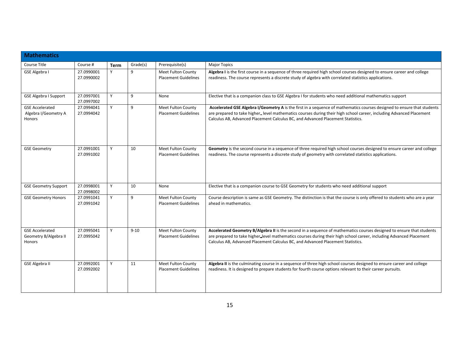| <b>Mathematics</b>                                        |                          |             |          |                                                          |                                                                                                                                                                                                                                                                                                                                   |  |  |  |  |
|-----------------------------------------------------------|--------------------------|-------------|----------|----------------------------------------------------------|-----------------------------------------------------------------------------------------------------------------------------------------------------------------------------------------------------------------------------------------------------------------------------------------------------------------------------------|--|--|--|--|
| Course Title                                              | Course #                 | <b>Term</b> | Grade(s) | Prerequisite(s)                                          | <b>Major Topics</b>                                                                                                                                                                                                                                                                                                               |  |  |  |  |
| <b>GSE Algebra I</b>                                      | 27.0990001<br>27.0990002 | Y           | 9        | Meet Fulton County<br><b>Placement Guidelines</b>        | Algebra I is the first course in a sequence of three required high school courses designed to ensure career and college<br>readiness. The course represents a discrete study of algebra with correlated statistics applications.                                                                                                  |  |  |  |  |
| <b>GSE Algebra I Support</b>                              | 27.0997001<br>27.0997002 | Y           | 9        | None                                                     | Elective that is a companion class to GSE Algebra I for students who need additional mathematics support                                                                                                                                                                                                                          |  |  |  |  |
| <b>GSE Accelerated</b><br>Algebra I/Geometry A<br>Honors  | 27.0994041<br>27.0994042 | Y           | 9        | Meet Fulton County<br><b>Placement Guidelines</b>        | Accelerated GSE Algebra I/Geometry A is the first in a sequence of mathematics courses designed to ensure that students<br>are prepared to take higher_level mathematics courses during their high school career, including Advanced Placement<br>Calculus AB, Advanced Placement Calculus BC, and Advanced Placement Statistics. |  |  |  |  |
| <b>GSE Geometry</b>                                       | 27.0991001<br>27.0991002 | Y           | 10       | <b>Meet Fulton County</b><br><b>Placement Guidelines</b> | Geometry is the second course in a sequence of three required high school courses designed to ensure career and college<br>readiness. The course represents a discrete study of geometry with correlated statistics applications.                                                                                                 |  |  |  |  |
| <b>GSE Geometry Support</b>                               | 27.0998001<br>27.0998002 | Y           | 10       | None                                                     | Elective that is a companion course to GSE Geometry for students who need additional support                                                                                                                                                                                                                                      |  |  |  |  |
| <b>GSE Geometry Honors</b>                                | 27.0991041<br>27.0991042 | Y           | 9        | Meet Fulton County<br><b>Placement Guidelines</b>        | Course description is same as GSE Geometry. The distinction is that the course is only offered to students who are a year<br>ahead in mathematics.                                                                                                                                                                                |  |  |  |  |
| <b>GSE Accelerated</b><br>Geometry B/Algebra II<br>Honors | 27.0995041<br>27.0995042 | Y           | $9 - 10$ | Meet Fulton County<br><b>Placement Guidelines</b>        | Accelerated Geometry B/Algebra II is the second in a sequence of mathematics courses designed to ensure that students<br>are prepared to take higher_level mathematics courses during their high school career, including Advanced Placement<br>Calculus AB, Advanced Placement Calculus BC, and Advanced Placement Statistics.   |  |  |  |  |
| <b>GSE Algebra II</b>                                     | 27.0992001<br>27.0992002 | Y           | 11       | Meet Fulton County<br><b>Placement Guidelines</b>        | Algebra II is the culminating course in a sequence of three high school courses designed to ensure career and college<br>readiness. It is designed to prepare students for fourth course options relevant to their career pursuits.                                                                                               |  |  |  |  |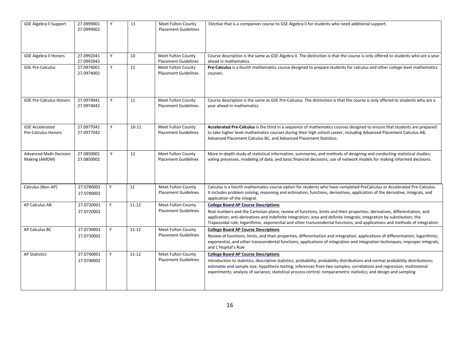| <b>GSE Algebra II Support</b>                  | 27.0999001<br>27.0999002 | Y | 11        | <b>Meet Fulton County</b><br><b>Placement Guidelines</b> | Elective that is a companion course to GSE Algebra II for students who need additional support.                                                                                                                                                                                                                                                                                                                                   |
|------------------------------------------------|--------------------------|---|-----------|----------------------------------------------------------|-----------------------------------------------------------------------------------------------------------------------------------------------------------------------------------------------------------------------------------------------------------------------------------------------------------------------------------------------------------------------------------------------------------------------------------|
| <b>GSE Algebra II Honors</b>                   | 27.0992041<br>27.0992042 | Y | 10        | Meet Fulton County<br><b>Placement Guidelines</b>        | Course description is the same as GSE Algebra II. The distinction is that the course is only offered to students who are a year<br>ahead in mathematics.                                                                                                                                                                                                                                                                          |
| <b>GSE Pre-Calculus</b>                        | 27.0974001<br>27.0974002 | Y | 12        | Meet Fulton County<br><b>Placement Guidelines</b>        | Pre-Calculus is a fourth mathematics course designed to prepare students for calculus and other college level mathematics<br>courses.                                                                                                                                                                                                                                                                                             |
| <b>GSE Pre-Calculus Honors</b>                 | 27.0974041<br>27.0974042 | Y | 11        | Meet Fulton County<br><b>Placement Guidelines</b>        | Course description is the same as GSE Pre-Calculus. The distinction is that the course is only offered to students who are a<br>year ahead in mathematics.                                                                                                                                                                                                                                                                        |
| <b>GSE Accelerated</b><br>Pre-Calculus Honors  | 27.0977041<br>27.0977042 | Y | $10 - 11$ | Meet Fulton County<br><b>Placement Guidelines</b>        | Accelerated Pre-Calculus is the third in a sequence of mathematics courses designed to ensure that students are prepared<br>to take higher level mathematics courses during their high school career, including Advanced Placement Calculus AB,<br>Advanced Placement Calculus BC, and Advanced Placement Statistics.                                                                                                             |
| <b>Advanced Math Decision</b><br>Making (AMDM) | 27.0850001<br>27.0850002 | Y | 12        | <b>Meet Fulton County</b><br><b>Placement Guidelines</b> | More in-depth study of statistical information, summaries, and methods of designing and conducting statistical studies;<br>voting precesses, modeling of data, and basic financial decisions; use of network models for making informed decisions.                                                                                                                                                                                |
| Calculus (Non-AP)                              | 27.0780001<br>27.0780002 | Y | 12        | Meet Fulton County<br><b>Placement Guidelines</b>        | Calculus is a fourth mathematics course option for students who have completed PreCalculus or Accelerated Pre-Calculus.<br>It includes problem solving, reasoning and estimation, functions, derivatives, application of the derivative, integrals, and<br>application of the integral.                                                                                                                                           |
| AP Calculus AB                                 | 27.0720001<br>27.0720002 | Y | $11 - 12$ | <b>Meet Fulton County</b><br><b>Placement Guidelines</b> | <b>College Board AP Course Descriptions</b><br>Real numbers and the Cartesian plane; review of functions, limits and their properties; derivatives, differentiation, and<br>application; anti-derivatives and indefinite integration; area and definite integrals; integration by substitution; the<br>Trapezoidal rule; logarithmic, exponential and other transcendental functions; and applications and methods of integration |
| AP Calculus BC                                 | 27.0730001<br>27.0730002 | Y | $11 - 12$ | <b>Meet Fulton County</b><br><b>Placement Guidelines</b> | <b>College Board AP Course Descriptions</b><br>Review of functions; limits, and their properties; differentiation and integration; applications of differentiation; logarithmic,<br>exponential, and other transcendental functions; applications of integration and integration techniques; improper integrals;<br>and L'Hopital's Rule                                                                                          |
| <b>AP Statistics</b>                           | 27.0740001<br>27.0740002 | Y | $11 - 12$ | <b>Meet Fulton County</b><br><b>Placement Guidelines</b> | <b>College Board AP Course Descriptions</b><br>Introduction to statistics, descriptive statistics, probability; probability distributions and normal probability distributions;<br>estimates and sample size; hypothesis testing; inferences from two samples; correlations and regression; multinomial<br>experiments; analysis of variance; statistical process control; nonparametric statistics; and design and sampling      |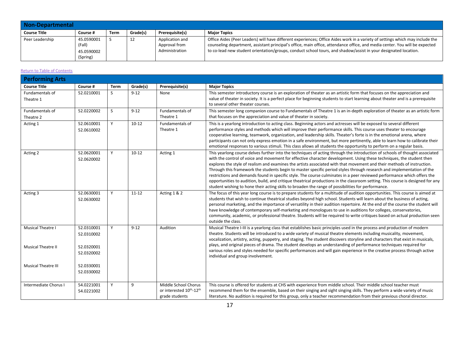| Non-Departmental    |                                                |      |          |                                                    |                                                                                                                                                                                                                                                                                                                                                                                 |  |  |  |  |
|---------------------|------------------------------------------------|------|----------|----------------------------------------------------|---------------------------------------------------------------------------------------------------------------------------------------------------------------------------------------------------------------------------------------------------------------------------------------------------------------------------------------------------------------------------------|--|--|--|--|
| <b>Course Title</b> | Course #                                       | Term | Grade(s) | Prerequisite(s)                                    | <b>Major Topics</b>                                                                                                                                                                                                                                                                                                                                                             |  |  |  |  |
| Peer Leadership     | 45.0590001<br>(Fall)<br>45.0590002<br>(Spring) |      | ᅭ        | Application and<br>Approval from<br>Administration | Office Aides (Peer Leaders) will have different experiences; Office Aides work in a variety of settings which may include the<br>counseling department, assistant principal's office, main office, attendance office, and media center. You will be expected<br>to co-lead new student orientation/groups, conduct school tours, and shadow/assist in your designated location. |  |  |  |  |

| <b>Performing Arts</b>                         |                                        |              |           |                                                                   |                                                                                                                                                                                                                                                                                                                                                                                                                                                                                                                                                                                                                                                                                                                                                                                                                                                                            |
|------------------------------------------------|----------------------------------------|--------------|-----------|-------------------------------------------------------------------|----------------------------------------------------------------------------------------------------------------------------------------------------------------------------------------------------------------------------------------------------------------------------------------------------------------------------------------------------------------------------------------------------------------------------------------------------------------------------------------------------------------------------------------------------------------------------------------------------------------------------------------------------------------------------------------------------------------------------------------------------------------------------------------------------------------------------------------------------------------------------|
| <b>Course Title</b>                            | Course #                               | <b>Term</b>  | Grade(s)  | Prerequisite(s)                                                   | <b>Major Topics</b>                                                                                                                                                                                                                                                                                                                                                                                                                                                                                                                                                                                                                                                                                                                                                                                                                                                        |
| Fundamentals of<br>Theatre 1                   | 52.0210001                             | <sub>S</sub> | $9 - 12$  | None                                                              | This semester introductory course is an exploration of theater as an artistic form that focuses on the appreciation and<br>value of theater in society. It is a perfect place for beginning students to start learning about theater and is a prerequisite<br>to several other theater courses.                                                                                                                                                                                                                                                                                                                                                                                                                                                                                                                                                                            |
| Fundamentals of<br>Theatre 2                   | 52.0220002                             | S            | $9 - 12$  | Fundamentals of<br>Theatre 1                                      | This semester long companion course to Fundamentals of Theatre 1 is an in-depth exploration of theater as an artistic form<br>that focuses on the appreciation and value of theater in society.                                                                                                                                                                                                                                                                                                                                                                                                                                                                                                                                                                                                                                                                            |
| Acting 1                                       | 52.0610001<br>52.0610002               | Y            | $10-12$   | Fundamentals of<br>Theatre 1                                      | This is a yearlong introduction to acting class. Beginning actors and actresses will be exposed to several different<br>performance styles and methods which will improve their performance skills. This course uses theater to encourage<br>cooperative learning, teamwork, organization, and leadership skills. Theater's forte is in the emotional arena, where<br>participants can not only express emotion in a safe environment, but more pertinently, able to learn how to calibrate their<br>emotional responses to various stimuli. This class allows all students the opportunity to perform on a regular basis.                                                                                                                                                                                                                                                 |
| Acting 2                                       | 52.0620001<br>52.0620002               | Y            | $10-12$   | Acting 1                                                          | This yearlong course delves further into the techniques of acting through the introduction of schools of thought associated<br>with the control of voice and movement for effective character development. Using these techniques, the student then<br>explores the style of realism and examines the artists associated with that movement and their methods of instruction.<br>Through this framework the students begin to master specific period styles through research and implementation of the<br>restrictions and demands found in specific style. The course culminates in a peer reviewed performance which offers the<br>opportunities to audition, build, and critique theatrical productions in the classroom setting. This course is designed for any<br>student wishing to hone their acting skills to broaden the range of possibilities for performance. |
| Acting 3                                       | 52.0630001<br>52.0630002               | Y            | $11 - 12$ | Acting 1 & 2                                                      | The focus of this year long course is to prepare students for a multitude of audition opportunities. This course is aimed at<br>students that wish to continue theatrical studies beyond high school. Students will learn about the business of acting,<br>personal marketing, and the importance of versatility in their audition repertoire. At the end of the course the student will<br>have knowledge of contemporary self-marketing and monologues to use in auditions for colleges, conservatories,<br>community, academic, or professional theatre. Students will be required to write critiques based on actual production seen<br>outside the class.                                                                                                                                                                                                             |
| Musical Theatre I<br><b>Musical Theatre II</b> | 52.0310001<br>52.0310002<br>52.0320001 | Y            | $9 - 12$  | Audition                                                          | Musical Theatre I-III is a yearlong class that establishes basic principles used in the process and production of modern<br>theatre. Students will be introduced to a wide variety of musical theatre elements including musicality, movement,<br>vocalization, artistry, acting, puppetry, and staging. The student discovers storyline and characters that exist in musicals,<br>plays, and original pieces of drama. The student develops an understanding of performance techniques required for                                                                                                                                                                                                                                                                                                                                                                       |
|                                                | 52.0320002                             |              |           |                                                                   | various roles and styles needed for specific performances and will gain experience in the creative process through active<br>individual and group involvement.                                                                                                                                                                                                                                                                                                                                                                                                                                                                                                                                                                                                                                                                                                             |
| <b>Musical Theatre III</b>                     | 52.0330001<br>52.0330002               |              |           |                                                                   |                                                                                                                                                                                                                                                                                                                                                                                                                                                                                                                                                                                                                                                                                                                                                                                                                                                                            |
| Intermediate Chorus I                          | 54.0221001<br>54.0221002               | Y            | 9         | Middle School Chorus<br>or interested 10th-12th<br>grade students | This course is offered for students at CHS with experience from middle school. Their middle school teacher must<br>recommend them for the ensemble, based on their singing and sight singing skills. They perform a wide variety of music<br>literature. No audition is required for this group, only a teacher recommendation from their previous choral director.                                                                                                                                                                                                                                                                                                                                                                                                                                                                                                        |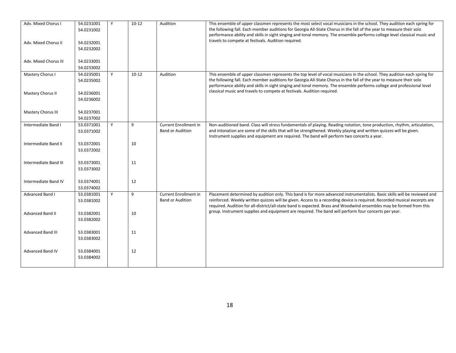| Adv. Mixed Chorus I       | 54.0231001 | Y | $10 - 12$ | Audition                | This ensemble of upper classmen represents the most select vocal musicians in the school. They audition each spring for   |
|---------------------------|------------|---|-----------|-------------------------|---------------------------------------------------------------------------------------------------------------------------|
|                           | 54.0231002 |   |           |                         | the following fall. Each member auditions for Georgia All-State Chorus in the fall of the year to measure their solo      |
|                           |            |   |           |                         | performance ability and skills in sight singing and tonal memory. The ensemble performs college level classical music and |
| Adv. Mixed Chorus II      | 54.0232001 |   |           |                         | travels to compete at festivals. Audition required.                                                                       |
|                           | 54.0232002 |   |           |                         |                                                                                                                           |
|                           |            |   |           |                         |                                                                                                                           |
|                           |            |   |           |                         |                                                                                                                           |
| Adv. Mixed Chorus III     | 54.0233001 |   |           |                         |                                                                                                                           |
|                           | 54.0233002 |   |           |                         |                                                                                                                           |
| Mastery Chorus I          | 54.0235001 | Y | $10 - 12$ | Audition                | This ensemble of upper classmen represents the top level of vocal musicians in the school. They audition each spring for  |
|                           | 54.0235002 |   |           |                         | the following fall. Each member auditions for Georgia All-State Chorus in the fall of the year to measure their solo      |
|                           |            |   |           |                         | performance ability and skills in sight singing and tonal memory. The ensemble performs college and professional level    |
|                           |            |   |           |                         | classical music and travels to compete at festivals. Audition required.                                                   |
| Mastery Chorus II         | 54.0236001 |   |           |                         |                                                                                                                           |
|                           | 54.0236002 |   |           |                         |                                                                                                                           |
|                           |            |   |           |                         |                                                                                                                           |
| <b>Mastery Chorus III</b> | 54.0237001 |   |           |                         |                                                                                                                           |
|                           |            |   |           |                         |                                                                                                                           |
|                           | 54.0237002 |   |           |                         |                                                                                                                           |
| Intermediate Band I       | 53.0371001 | Y | 9         | Current Enrollment in   | Non-auditioned band. Class will stress fundamentals of playing. Reading notation, tone production, rhythm, articulation,  |
|                           | 53.0371002 |   |           | <b>Band or Audition</b> | and intonation are some of the skills that will be strengthened. Weekly playing and written quizzes will be given.        |
|                           |            |   |           |                         | Instrument supplies and equipment are required. The band will perform two concerts a year.                                |
| Intermediate Band II      | 53.0372001 |   | 10        |                         |                                                                                                                           |
|                           | 53.0372002 |   |           |                         |                                                                                                                           |
|                           |            |   |           |                         |                                                                                                                           |
|                           |            |   |           |                         |                                                                                                                           |
| Intermediate Band III     | 53.0373001 |   | 11        |                         |                                                                                                                           |
|                           | 53.0373002 |   |           |                         |                                                                                                                           |
|                           |            |   |           |                         |                                                                                                                           |
| Intermediate Band IV      | 53.0374001 |   | 12        |                         |                                                                                                                           |
|                           | 53.0374002 |   |           |                         |                                                                                                                           |
| Advanced Band I           |            | Y | 9         | Current Enrollment in   |                                                                                                                           |
|                           | 53.0381001 |   |           |                         | Placement determined by audition only. This band is for more advanced instrumentalists. Basic skills will be reviewed and |
|                           | 53.0381002 |   |           | <b>Band or Audition</b> | reinforced. Weekly written quizzes will be given. Access to a recording device is required. Recorded musical excerpts are |
|                           |            |   |           |                         | required. Audition for all-district/all-state band is expected. Brass and Woodwind ensembles may be formed from this      |
| <b>Advanced Band II</b>   | 53.0382001 |   | 10        |                         | group. Instrument supplies and equipment are required. The band will perform four concerts per year.                      |
|                           | 53.0382002 |   |           |                         |                                                                                                                           |
|                           |            |   |           |                         |                                                                                                                           |
|                           |            |   | 11        |                         |                                                                                                                           |
| <b>Advanced Band III</b>  | 53.0383001 |   |           |                         |                                                                                                                           |
|                           | 53.0383002 |   |           |                         |                                                                                                                           |
|                           |            |   |           |                         |                                                                                                                           |
| <b>Advanced Band IV</b>   | 53.0384001 |   | 12        |                         |                                                                                                                           |
|                           | 53.0384002 |   |           |                         |                                                                                                                           |
|                           |            |   |           |                         |                                                                                                                           |
|                           |            |   |           |                         |                                                                                                                           |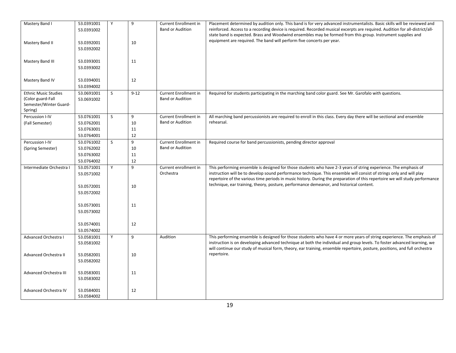| <b>Band or Audition</b><br>reinforced. Access to a recording device is required. Recorded musical excerpts are required. Audition for all-district/all-<br>53.0391002<br>state band is expected. Brass and Woodwind ensembles may be formed from this group. Instrument supplies and<br>equipment are required. The band will perform five concerts per year.<br>Mastery Band II<br>53.0392001<br>10<br>53.0392002<br>11<br>Mastery Band III<br>53.0393001<br>53.0393002<br>12<br>Mastery Band IV<br>53.0394001<br>53.0394002<br><b>Current Enrollment in</b><br><b>Ethnic Music Studies</b><br>53.0691001<br>S<br>$9 - 12$<br>Required for students participating in the marching band color guard. See Mr. Garofalo with questions.<br>(Color guard-Fall<br><b>Band or Audition</b><br>53.0691002<br>Semester/Winter Guard-<br>Spring)<br>Percussion I-IV<br>S.<br>9<br>53.0761001<br><b>Current Enrollment in</b><br>All marching band percussionists are required to enroll in this class. Every day there will be sectional and ensemble<br><b>Band or Audition</b><br>rehearsal.<br>10<br>(Fall Semester)<br>53.0762001<br>11<br>53.0763001<br>12<br>53.0764001<br>S<br>9<br>Current Enrollment in<br>Percussion I-IV<br>53.0761002<br>Required course for band percussionists, pending director approval<br><b>Band or Audition</b><br>53.0762002<br>10<br>(Spring Semester)<br>11<br>53.0763002<br>12<br>53.0764002<br>9<br>Y<br>This performing ensemble is designed for those students who have 2-3 years of string experience. The emphasis of<br>Intermediate Orchestra I<br>53.0571001<br>Current enrollment in<br>Orchestra<br>instruction will be to develop sound performance technique. This ensemble will consist of strings only and will play<br>53.0571002<br>repertoire of the various time periods in music history. During the preparation of this repertoire we will study performance<br>technique, ear training, theory, posture, performance demeanor, and historical content.<br>53.0572001<br>10<br>53.0572002<br>53.0573001<br>11<br>53.0573002<br>12<br>53.0574001<br>53.0574002<br>Advanced Orchestra I<br>53.0581001<br>Y<br>9<br>This performing ensemble is designed for those students who have 4 or more years of string experience. The emphasis of<br>Audition<br>instruction is on developing advanced technique at both the individual and group levels. To foster advanced learning, we<br>53.0581002<br>will continue our study of musical form, theory, ear training, ensemble repertoire, posture, positions, and full orchestra<br>repertoire.<br>Advanced Orchestra II<br>53.0582001<br>10<br>53.0582002<br>53.0583001<br>11<br>Advanced Orchestra III<br>53.0583002<br>Advanced Orchestra IV<br>12<br>53.0584001 | Mastery Band I | 53.0391001 | Y | 9 | <b>Current Enrollment in</b> | Placement determined by audition only. This band is for very advanced instrumentalists. Basic skills will be reviewed and |
|-------------------------------------------------------------------------------------------------------------------------------------------------------------------------------------------------------------------------------------------------------------------------------------------------------------------------------------------------------------------------------------------------------------------------------------------------------------------------------------------------------------------------------------------------------------------------------------------------------------------------------------------------------------------------------------------------------------------------------------------------------------------------------------------------------------------------------------------------------------------------------------------------------------------------------------------------------------------------------------------------------------------------------------------------------------------------------------------------------------------------------------------------------------------------------------------------------------------------------------------------------------------------------------------------------------------------------------------------------------------------------------------------------------------------------------------------------------------------------------------------------------------------------------------------------------------------------------------------------------------------------------------------------------------------------------------------------------------------------------------------------------------------------------------------------------------------------------------------------------------------------------------------------------------------------------------------------------------------------------------------------------------------------------------------------------------------------------------------------------------------------------------------------------------------------------------------------------------------------------------------------------------------------------------------------------------------------------------------------------------------------------------------------------------------------------------------------------------------------------------------------------------------------------------------------------------------------------------------------------------------------------------------------------------------------------------------------------------------------------------------------------------|----------------|------------|---|---|------------------------------|---------------------------------------------------------------------------------------------------------------------------|
|                                                                                                                                                                                                                                                                                                                                                                                                                                                                                                                                                                                                                                                                                                                                                                                                                                                                                                                                                                                                                                                                                                                                                                                                                                                                                                                                                                                                                                                                                                                                                                                                                                                                                                                                                                                                                                                                                                                                                                                                                                                                                                                                                                                                                                                                                                                                                                                                                                                                                                                                                                                                                                                                                                                                                                   |                |            |   |   |                              |                                                                                                                           |
|                                                                                                                                                                                                                                                                                                                                                                                                                                                                                                                                                                                                                                                                                                                                                                                                                                                                                                                                                                                                                                                                                                                                                                                                                                                                                                                                                                                                                                                                                                                                                                                                                                                                                                                                                                                                                                                                                                                                                                                                                                                                                                                                                                                                                                                                                                                                                                                                                                                                                                                                                                                                                                                                                                                                                                   |                |            |   |   |                              |                                                                                                                           |
|                                                                                                                                                                                                                                                                                                                                                                                                                                                                                                                                                                                                                                                                                                                                                                                                                                                                                                                                                                                                                                                                                                                                                                                                                                                                                                                                                                                                                                                                                                                                                                                                                                                                                                                                                                                                                                                                                                                                                                                                                                                                                                                                                                                                                                                                                                                                                                                                                                                                                                                                                                                                                                                                                                                                                                   |                |            |   |   |                              |                                                                                                                           |
|                                                                                                                                                                                                                                                                                                                                                                                                                                                                                                                                                                                                                                                                                                                                                                                                                                                                                                                                                                                                                                                                                                                                                                                                                                                                                                                                                                                                                                                                                                                                                                                                                                                                                                                                                                                                                                                                                                                                                                                                                                                                                                                                                                                                                                                                                                                                                                                                                                                                                                                                                                                                                                                                                                                                                                   |                |            |   |   |                              |                                                                                                                           |
|                                                                                                                                                                                                                                                                                                                                                                                                                                                                                                                                                                                                                                                                                                                                                                                                                                                                                                                                                                                                                                                                                                                                                                                                                                                                                                                                                                                                                                                                                                                                                                                                                                                                                                                                                                                                                                                                                                                                                                                                                                                                                                                                                                                                                                                                                                                                                                                                                                                                                                                                                                                                                                                                                                                                                                   |                |            |   |   |                              |                                                                                                                           |
|                                                                                                                                                                                                                                                                                                                                                                                                                                                                                                                                                                                                                                                                                                                                                                                                                                                                                                                                                                                                                                                                                                                                                                                                                                                                                                                                                                                                                                                                                                                                                                                                                                                                                                                                                                                                                                                                                                                                                                                                                                                                                                                                                                                                                                                                                                                                                                                                                                                                                                                                                                                                                                                                                                                                                                   |                |            |   |   |                              |                                                                                                                           |
|                                                                                                                                                                                                                                                                                                                                                                                                                                                                                                                                                                                                                                                                                                                                                                                                                                                                                                                                                                                                                                                                                                                                                                                                                                                                                                                                                                                                                                                                                                                                                                                                                                                                                                                                                                                                                                                                                                                                                                                                                                                                                                                                                                                                                                                                                                                                                                                                                                                                                                                                                                                                                                                                                                                                                                   |                |            |   |   |                              |                                                                                                                           |
|                                                                                                                                                                                                                                                                                                                                                                                                                                                                                                                                                                                                                                                                                                                                                                                                                                                                                                                                                                                                                                                                                                                                                                                                                                                                                                                                                                                                                                                                                                                                                                                                                                                                                                                                                                                                                                                                                                                                                                                                                                                                                                                                                                                                                                                                                                                                                                                                                                                                                                                                                                                                                                                                                                                                                                   |                |            |   |   |                              |                                                                                                                           |
|                                                                                                                                                                                                                                                                                                                                                                                                                                                                                                                                                                                                                                                                                                                                                                                                                                                                                                                                                                                                                                                                                                                                                                                                                                                                                                                                                                                                                                                                                                                                                                                                                                                                                                                                                                                                                                                                                                                                                                                                                                                                                                                                                                                                                                                                                                                                                                                                                                                                                                                                                                                                                                                                                                                                                                   |                |            |   |   |                              |                                                                                                                           |
|                                                                                                                                                                                                                                                                                                                                                                                                                                                                                                                                                                                                                                                                                                                                                                                                                                                                                                                                                                                                                                                                                                                                                                                                                                                                                                                                                                                                                                                                                                                                                                                                                                                                                                                                                                                                                                                                                                                                                                                                                                                                                                                                                                                                                                                                                                                                                                                                                                                                                                                                                                                                                                                                                                                                                                   |                |            |   |   |                              |                                                                                                                           |
|                                                                                                                                                                                                                                                                                                                                                                                                                                                                                                                                                                                                                                                                                                                                                                                                                                                                                                                                                                                                                                                                                                                                                                                                                                                                                                                                                                                                                                                                                                                                                                                                                                                                                                                                                                                                                                                                                                                                                                                                                                                                                                                                                                                                                                                                                                                                                                                                                                                                                                                                                                                                                                                                                                                                                                   |                |            |   |   |                              |                                                                                                                           |
|                                                                                                                                                                                                                                                                                                                                                                                                                                                                                                                                                                                                                                                                                                                                                                                                                                                                                                                                                                                                                                                                                                                                                                                                                                                                                                                                                                                                                                                                                                                                                                                                                                                                                                                                                                                                                                                                                                                                                                                                                                                                                                                                                                                                                                                                                                                                                                                                                                                                                                                                                                                                                                                                                                                                                                   |                |            |   |   |                              |                                                                                                                           |
|                                                                                                                                                                                                                                                                                                                                                                                                                                                                                                                                                                                                                                                                                                                                                                                                                                                                                                                                                                                                                                                                                                                                                                                                                                                                                                                                                                                                                                                                                                                                                                                                                                                                                                                                                                                                                                                                                                                                                                                                                                                                                                                                                                                                                                                                                                                                                                                                                                                                                                                                                                                                                                                                                                                                                                   |                |            |   |   |                              |                                                                                                                           |
|                                                                                                                                                                                                                                                                                                                                                                                                                                                                                                                                                                                                                                                                                                                                                                                                                                                                                                                                                                                                                                                                                                                                                                                                                                                                                                                                                                                                                                                                                                                                                                                                                                                                                                                                                                                                                                                                                                                                                                                                                                                                                                                                                                                                                                                                                                                                                                                                                                                                                                                                                                                                                                                                                                                                                                   |                |            |   |   |                              |                                                                                                                           |
|                                                                                                                                                                                                                                                                                                                                                                                                                                                                                                                                                                                                                                                                                                                                                                                                                                                                                                                                                                                                                                                                                                                                                                                                                                                                                                                                                                                                                                                                                                                                                                                                                                                                                                                                                                                                                                                                                                                                                                                                                                                                                                                                                                                                                                                                                                                                                                                                                                                                                                                                                                                                                                                                                                                                                                   |                |            |   |   |                              |                                                                                                                           |
|                                                                                                                                                                                                                                                                                                                                                                                                                                                                                                                                                                                                                                                                                                                                                                                                                                                                                                                                                                                                                                                                                                                                                                                                                                                                                                                                                                                                                                                                                                                                                                                                                                                                                                                                                                                                                                                                                                                                                                                                                                                                                                                                                                                                                                                                                                                                                                                                                                                                                                                                                                                                                                                                                                                                                                   |                |            |   |   |                              |                                                                                                                           |
|                                                                                                                                                                                                                                                                                                                                                                                                                                                                                                                                                                                                                                                                                                                                                                                                                                                                                                                                                                                                                                                                                                                                                                                                                                                                                                                                                                                                                                                                                                                                                                                                                                                                                                                                                                                                                                                                                                                                                                                                                                                                                                                                                                                                                                                                                                                                                                                                                                                                                                                                                                                                                                                                                                                                                                   |                |            |   |   |                              |                                                                                                                           |
|                                                                                                                                                                                                                                                                                                                                                                                                                                                                                                                                                                                                                                                                                                                                                                                                                                                                                                                                                                                                                                                                                                                                                                                                                                                                                                                                                                                                                                                                                                                                                                                                                                                                                                                                                                                                                                                                                                                                                                                                                                                                                                                                                                                                                                                                                                                                                                                                                                                                                                                                                                                                                                                                                                                                                                   |                |            |   |   |                              |                                                                                                                           |
|                                                                                                                                                                                                                                                                                                                                                                                                                                                                                                                                                                                                                                                                                                                                                                                                                                                                                                                                                                                                                                                                                                                                                                                                                                                                                                                                                                                                                                                                                                                                                                                                                                                                                                                                                                                                                                                                                                                                                                                                                                                                                                                                                                                                                                                                                                                                                                                                                                                                                                                                                                                                                                                                                                                                                                   |                |            |   |   |                              |                                                                                                                           |
|                                                                                                                                                                                                                                                                                                                                                                                                                                                                                                                                                                                                                                                                                                                                                                                                                                                                                                                                                                                                                                                                                                                                                                                                                                                                                                                                                                                                                                                                                                                                                                                                                                                                                                                                                                                                                                                                                                                                                                                                                                                                                                                                                                                                                                                                                                                                                                                                                                                                                                                                                                                                                                                                                                                                                                   |                |            |   |   |                              |                                                                                                                           |
|                                                                                                                                                                                                                                                                                                                                                                                                                                                                                                                                                                                                                                                                                                                                                                                                                                                                                                                                                                                                                                                                                                                                                                                                                                                                                                                                                                                                                                                                                                                                                                                                                                                                                                                                                                                                                                                                                                                                                                                                                                                                                                                                                                                                                                                                                                                                                                                                                                                                                                                                                                                                                                                                                                                                                                   |                |            |   |   |                              |                                                                                                                           |
|                                                                                                                                                                                                                                                                                                                                                                                                                                                                                                                                                                                                                                                                                                                                                                                                                                                                                                                                                                                                                                                                                                                                                                                                                                                                                                                                                                                                                                                                                                                                                                                                                                                                                                                                                                                                                                                                                                                                                                                                                                                                                                                                                                                                                                                                                                                                                                                                                                                                                                                                                                                                                                                                                                                                                                   |                |            |   |   |                              |                                                                                                                           |
|                                                                                                                                                                                                                                                                                                                                                                                                                                                                                                                                                                                                                                                                                                                                                                                                                                                                                                                                                                                                                                                                                                                                                                                                                                                                                                                                                                                                                                                                                                                                                                                                                                                                                                                                                                                                                                                                                                                                                                                                                                                                                                                                                                                                                                                                                                                                                                                                                                                                                                                                                                                                                                                                                                                                                                   |                |            |   |   |                              |                                                                                                                           |
|                                                                                                                                                                                                                                                                                                                                                                                                                                                                                                                                                                                                                                                                                                                                                                                                                                                                                                                                                                                                                                                                                                                                                                                                                                                                                                                                                                                                                                                                                                                                                                                                                                                                                                                                                                                                                                                                                                                                                                                                                                                                                                                                                                                                                                                                                                                                                                                                                                                                                                                                                                                                                                                                                                                                                                   |                |            |   |   |                              |                                                                                                                           |
|                                                                                                                                                                                                                                                                                                                                                                                                                                                                                                                                                                                                                                                                                                                                                                                                                                                                                                                                                                                                                                                                                                                                                                                                                                                                                                                                                                                                                                                                                                                                                                                                                                                                                                                                                                                                                                                                                                                                                                                                                                                                                                                                                                                                                                                                                                                                                                                                                                                                                                                                                                                                                                                                                                                                                                   |                |            |   |   |                              |                                                                                                                           |
|                                                                                                                                                                                                                                                                                                                                                                                                                                                                                                                                                                                                                                                                                                                                                                                                                                                                                                                                                                                                                                                                                                                                                                                                                                                                                                                                                                                                                                                                                                                                                                                                                                                                                                                                                                                                                                                                                                                                                                                                                                                                                                                                                                                                                                                                                                                                                                                                                                                                                                                                                                                                                                                                                                                                                                   |                |            |   |   |                              |                                                                                                                           |
|                                                                                                                                                                                                                                                                                                                                                                                                                                                                                                                                                                                                                                                                                                                                                                                                                                                                                                                                                                                                                                                                                                                                                                                                                                                                                                                                                                                                                                                                                                                                                                                                                                                                                                                                                                                                                                                                                                                                                                                                                                                                                                                                                                                                                                                                                                                                                                                                                                                                                                                                                                                                                                                                                                                                                                   |                |            |   |   |                              |                                                                                                                           |
|                                                                                                                                                                                                                                                                                                                                                                                                                                                                                                                                                                                                                                                                                                                                                                                                                                                                                                                                                                                                                                                                                                                                                                                                                                                                                                                                                                                                                                                                                                                                                                                                                                                                                                                                                                                                                                                                                                                                                                                                                                                                                                                                                                                                                                                                                                                                                                                                                                                                                                                                                                                                                                                                                                                                                                   |                |            |   |   |                              |                                                                                                                           |
|                                                                                                                                                                                                                                                                                                                                                                                                                                                                                                                                                                                                                                                                                                                                                                                                                                                                                                                                                                                                                                                                                                                                                                                                                                                                                                                                                                                                                                                                                                                                                                                                                                                                                                                                                                                                                                                                                                                                                                                                                                                                                                                                                                                                                                                                                                                                                                                                                                                                                                                                                                                                                                                                                                                                                                   |                |            |   |   |                              |                                                                                                                           |
|                                                                                                                                                                                                                                                                                                                                                                                                                                                                                                                                                                                                                                                                                                                                                                                                                                                                                                                                                                                                                                                                                                                                                                                                                                                                                                                                                                                                                                                                                                                                                                                                                                                                                                                                                                                                                                                                                                                                                                                                                                                                                                                                                                                                                                                                                                                                                                                                                                                                                                                                                                                                                                                                                                                                                                   |                |            |   |   |                              |                                                                                                                           |
|                                                                                                                                                                                                                                                                                                                                                                                                                                                                                                                                                                                                                                                                                                                                                                                                                                                                                                                                                                                                                                                                                                                                                                                                                                                                                                                                                                                                                                                                                                                                                                                                                                                                                                                                                                                                                                                                                                                                                                                                                                                                                                                                                                                                                                                                                                                                                                                                                                                                                                                                                                                                                                                                                                                                                                   |                |            |   |   |                              |                                                                                                                           |
|                                                                                                                                                                                                                                                                                                                                                                                                                                                                                                                                                                                                                                                                                                                                                                                                                                                                                                                                                                                                                                                                                                                                                                                                                                                                                                                                                                                                                                                                                                                                                                                                                                                                                                                                                                                                                                                                                                                                                                                                                                                                                                                                                                                                                                                                                                                                                                                                                                                                                                                                                                                                                                                                                                                                                                   |                |            |   |   |                              |                                                                                                                           |
|                                                                                                                                                                                                                                                                                                                                                                                                                                                                                                                                                                                                                                                                                                                                                                                                                                                                                                                                                                                                                                                                                                                                                                                                                                                                                                                                                                                                                                                                                                                                                                                                                                                                                                                                                                                                                                                                                                                                                                                                                                                                                                                                                                                                                                                                                                                                                                                                                                                                                                                                                                                                                                                                                                                                                                   |                |            |   |   |                              |                                                                                                                           |
|                                                                                                                                                                                                                                                                                                                                                                                                                                                                                                                                                                                                                                                                                                                                                                                                                                                                                                                                                                                                                                                                                                                                                                                                                                                                                                                                                                                                                                                                                                                                                                                                                                                                                                                                                                                                                                                                                                                                                                                                                                                                                                                                                                                                                                                                                                                                                                                                                                                                                                                                                                                                                                                                                                                                                                   |                |            |   |   |                              |                                                                                                                           |
|                                                                                                                                                                                                                                                                                                                                                                                                                                                                                                                                                                                                                                                                                                                                                                                                                                                                                                                                                                                                                                                                                                                                                                                                                                                                                                                                                                                                                                                                                                                                                                                                                                                                                                                                                                                                                                                                                                                                                                                                                                                                                                                                                                                                                                                                                                                                                                                                                                                                                                                                                                                                                                                                                                                                                                   |                |            |   |   |                              |                                                                                                                           |
|                                                                                                                                                                                                                                                                                                                                                                                                                                                                                                                                                                                                                                                                                                                                                                                                                                                                                                                                                                                                                                                                                                                                                                                                                                                                                                                                                                                                                                                                                                                                                                                                                                                                                                                                                                                                                                                                                                                                                                                                                                                                                                                                                                                                                                                                                                                                                                                                                                                                                                                                                                                                                                                                                                                                                                   |                |            |   |   |                              |                                                                                                                           |
|                                                                                                                                                                                                                                                                                                                                                                                                                                                                                                                                                                                                                                                                                                                                                                                                                                                                                                                                                                                                                                                                                                                                                                                                                                                                                                                                                                                                                                                                                                                                                                                                                                                                                                                                                                                                                                                                                                                                                                                                                                                                                                                                                                                                                                                                                                                                                                                                                                                                                                                                                                                                                                                                                                                                                                   |                |            |   |   |                              |                                                                                                                           |
|                                                                                                                                                                                                                                                                                                                                                                                                                                                                                                                                                                                                                                                                                                                                                                                                                                                                                                                                                                                                                                                                                                                                                                                                                                                                                                                                                                                                                                                                                                                                                                                                                                                                                                                                                                                                                                                                                                                                                                                                                                                                                                                                                                                                                                                                                                                                                                                                                                                                                                                                                                                                                                                                                                                                                                   |                |            |   |   |                              |                                                                                                                           |
|                                                                                                                                                                                                                                                                                                                                                                                                                                                                                                                                                                                                                                                                                                                                                                                                                                                                                                                                                                                                                                                                                                                                                                                                                                                                                                                                                                                                                                                                                                                                                                                                                                                                                                                                                                                                                                                                                                                                                                                                                                                                                                                                                                                                                                                                                                                                                                                                                                                                                                                                                                                                                                                                                                                                                                   |                |            |   |   |                              |                                                                                                                           |
|                                                                                                                                                                                                                                                                                                                                                                                                                                                                                                                                                                                                                                                                                                                                                                                                                                                                                                                                                                                                                                                                                                                                                                                                                                                                                                                                                                                                                                                                                                                                                                                                                                                                                                                                                                                                                                                                                                                                                                                                                                                                                                                                                                                                                                                                                                                                                                                                                                                                                                                                                                                                                                                                                                                                                                   |                |            |   |   |                              |                                                                                                                           |
|                                                                                                                                                                                                                                                                                                                                                                                                                                                                                                                                                                                                                                                                                                                                                                                                                                                                                                                                                                                                                                                                                                                                                                                                                                                                                                                                                                                                                                                                                                                                                                                                                                                                                                                                                                                                                                                                                                                                                                                                                                                                                                                                                                                                                                                                                                                                                                                                                                                                                                                                                                                                                                                                                                                                                                   |                |            |   |   |                              |                                                                                                                           |
|                                                                                                                                                                                                                                                                                                                                                                                                                                                                                                                                                                                                                                                                                                                                                                                                                                                                                                                                                                                                                                                                                                                                                                                                                                                                                                                                                                                                                                                                                                                                                                                                                                                                                                                                                                                                                                                                                                                                                                                                                                                                                                                                                                                                                                                                                                                                                                                                                                                                                                                                                                                                                                                                                                                                                                   |                |            |   |   |                              |                                                                                                                           |
|                                                                                                                                                                                                                                                                                                                                                                                                                                                                                                                                                                                                                                                                                                                                                                                                                                                                                                                                                                                                                                                                                                                                                                                                                                                                                                                                                                                                                                                                                                                                                                                                                                                                                                                                                                                                                                                                                                                                                                                                                                                                                                                                                                                                                                                                                                                                                                                                                                                                                                                                                                                                                                                                                                                                                                   |                |            |   |   |                              |                                                                                                                           |
|                                                                                                                                                                                                                                                                                                                                                                                                                                                                                                                                                                                                                                                                                                                                                                                                                                                                                                                                                                                                                                                                                                                                                                                                                                                                                                                                                                                                                                                                                                                                                                                                                                                                                                                                                                                                                                                                                                                                                                                                                                                                                                                                                                                                                                                                                                                                                                                                                                                                                                                                                                                                                                                                                                                                                                   |                |            |   |   |                              |                                                                                                                           |
|                                                                                                                                                                                                                                                                                                                                                                                                                                                                                                                                                                                                                                                                                                                                                                                                                                                                                                                                                                                                                                                                                                                                                                                                                                                                                                                                                                                                                                                                                                                                                                                                                                                                                                                                                                                                                                                                                                                                                                                                                                                                                                                                                                                                                                                                                                                                                                                                                                                                                                                                                                                                                                                                                                                                                                   |                |            |   |   |                              |                                                                                                                           |
| 53.0584002                                                                                                                                                                                                                                                                                                                                                                                                                                                                                                                                                                                                                                                                                                                                                                                                                                                                                                                                                                                                                                                                                                                                                                                                                                                                                                                                                                                                                                                                                                                                                                                                                                                                                                                                                                                                                                                                                                                                                                                                                                                                                                                                                                                                                                                                                                                                                                                                                                                                                                                                                                                                                                                                                                                                                        |                |            |   |   |                              |                                                                                                                           |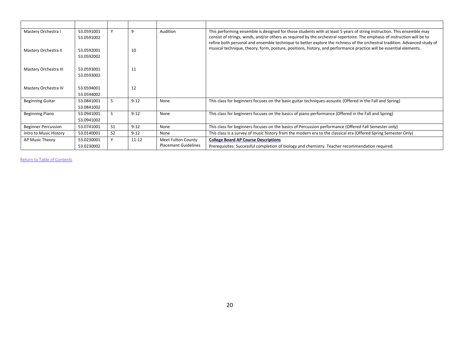| Mastery Orchestra I        | 53.0591001 |                | 9         | Audition                    | This performing ensemble is designed for those students with at least 5 years of string instruction. This ensemble may                                                                                                                          |
|----------------------------|------------|----------------|-----------|-----------------------------|-------------------------------------------------------------------------------------------------------------------------------------------------------------------------------------------------------------------------------------------------|
|                            | 53.0591002 |                |           |                             | consist of strings, winds, and/or others as required by the orchestral repertoire. The emphasis of instruction will be to                                                                                                                       |
| Mastery Orchestra II       | 53.0592001 |                | 10        |                             | refine both personal and ensemble technique to better explore the richness of the orchestral tradition. Advanced study of<br>musical technique, theory, form, posture, positions, history, and performance practice will be essential elements. |
|                            | 53.0592002 |                |           |                             |                                                                                                                                                                                                                                                 |
|                            |            |                |           |                             |                                                                                                                                                                                                                                                 |
| Mastery Orchestra III      | 53.0593001 |                | 11        |                             |                                                                                                                                                                                                                                                 |
|                            | 53.0593002 |                |           |                             |                                                                                                                                                                                                                                                 |
|                            |            |                |           |                             |                                                                                                                                                                                                                                                 |
| Mastery Orchestra IV       | 53.0594001 |                | 12        |                             |                                                                                                                                                                                                                                                 |
|                            | 53.0594002 |                |           |                             |                                                                                                                                                                                                                                                 |
| <b>Beginning Guitar</b>    | 53.0841001 |                | $9 - 12$  | None                        | This class for beginners focuses on the basic guitar techniques-acoustic (Offered in the Fall and Spring)                                                                                                                                       |
|                            | 53.0841002 |                |           |                             |                                                                                                                                                                                                                                                 |
| <b>Beginning Piano</b>     | 53.0941001 |                | $9 - 12$  | None                        | This class for beginners focuses on the basics of piano performance (Offered in the Fall and Spring)                                                                                                                                            |
|                            | 53.0941002 |                |           |                             |                                                                                                                                                                                                                                                 |
| <b>Beginner Percussion</b> | 53.0741001 | S1             | $9 - 12$  | None                        | This class for beginners focuses on the basics of Percussion performance (Offered Fall Semester only)                                                                                                                                           |
| Intro to Music History     | 53.0140001 | S <sub>2</sub> | $9 - 12$  | None                        | This class is a survey of music history from the modern era to the classical era (Offered Spring Semester Only)                                                                                                                                 |
| AP Music Theory            | 53.0230001 | $\checkmark$   | $11 - 12$ | Meet Fulton County          | <b>College Board AP Course Descriptions</b>                                                                                                                                                                                                     |
|                            | 53.0230002 |                |           | <b>Placement Guidelines</b> | Prerequisites: Successful completion of biology and chemistry. Teacher recommendation required.                                                                                                                                                 |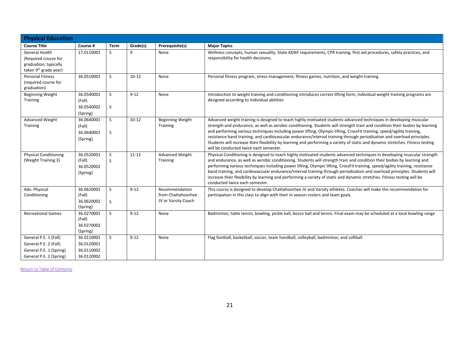| <b>Physical Education</b>                                                                            |                                                      |              |           |                                                             |                                                                                                                                                                                                                                                                                                                                                                                                                                                                                                                                                                                                                                                                                     |  |  |  |  |  |
|------------------------------------------------------------------------------------------------------|------------------------------------------------------|--------------|-----------|-------------------------------------------------------------|-------------------------------------------------------------------------------------------------------------------------------------------------------------------------------------------------------------------------------------------------------------------------------------------------------------------------------------------------------------------------------------------------------------------------------------------------------------------------------------------------------------------------------------------------------------------------------------------------------------------------------------------------------------------------------------|--|--|--|--|--|
| <b>Course Title</b>                                                                                  | Course #                                             | <b>Term</b>  | Grade(s)  | Prerequisite(s)                                             | <b>Major Topics</b>                                                                                                                                                                                                                                                                                                                                                                                                                                                                                                                                                                                                                                                                 |  |  |  |  |  |
| General Health<br>(Required course for<br>graduation; typically<br>taken 9 <sup>th</sup> grade year) | 17.0110001                                           | S.           | 9         | None                                                        | Wellness concepts, human sexuality, State ADAP requirements, CPR training, first aid procedures, safety practices, and<br>responsibility for health decisions.                                                                                                                                                                                                                                                                                                                                                                                                                                                                                                                      |  |  |  |  |  |
| <b>Personal Fitness</b><br>(required course for<br>graduation)                                       | 36.0510001                                           | <sub>S</sub> | $10 - 12$ | None                                                        | Personal fitness program, stress management, fitness games, nutrition, and weight training.                                                                                                                                                                                                                                                                                                                                                                                                                                                                                                                                                                                         |  |  |  |  |  |
| Beginning Weight<br>Training                                                                         | 36.0540001<br>(Fall)<br>36.0540002<br>(Spring)       | S<br>S       | $9 - 12$  | None                                                        | Introduction to weight training and conditioning introduces correct lifting form; individual weight training programs are<br>designed according to individual abilities                                                                                                                                                                                                                                                                                                                                                                                                                                                                                                             |  |  |  |  |  |
| Advanced Weight<br><b>Training</b>                                                                   | 36.0640001<br>(Fall)<br>36.0640001<br>(Spring)       | S<br>S       | $10 - 12$ | <b>Beginning Weight</b><br>Training                         | Advanced weight training is designed to teach highly motivated students advanced techniques in developing muscular<br>strength and endurance, as well as aerobic conditioning. Students will strength train and condition their bodies by learning<br>and performing various techniques including power lifting, Olympic lifting, CrossFit training, speed/agility training,<br>resistance band training, and cardiovascular endurance/interval training through periodization and overload principles.<br>Students will increase their flexibility by learning and performing a variety of static and dynamic stretches. Fitness testing<br>will be conducted twice each semester. |  |  |  |  |  |
| <b>Physical Conditioning</b><br>(Weight Training 3)                                                  | 36.0520001<br>(Fall)<br>36.0520002<br>(Spring)       | S<br>S       | $11 - 12$ | <b>Advanced Weight</b><br>Training                          | Physical Conditioning is designed to teach highly motivated students advanced techniques in developing muscular strength<br>and endurance, as well as aerobic conditioning. Students will strength train and condition their bodies by learning and<br>performing various techniques including power lifting, Olympic lifting, CrossFit training, speed/agility training, resistance<br>band training, and cardiovascular endurance/interval training through periodization and overload principles. Students will<br>increase their flexibility by learning and performing a variety of static and dynamic stretches. Fitness testing will be<br>conducted twice each semester.    |  |  |  |  |  |
| Adv. Physical<br>Conditioning                                                                        | 36.0620001<br>(Fall)<br>36.0620002<br>(Spring)       | S.<br>S      | $9 - 12$  | Recommendation<br>from Chattahoochee<br>JV or Varsity Coach | This course is designed to develop Chattahoochee JV and Varsity athletes. Coaches will make the recommendation for<br>participation in this class to align with their in season rosters and team goals.                                                                                                                                                                                                                                                                                                                                                                                                                                                                             |  |  |  |  |  |
| <b>Recreational Games</b>                                                                            | 36.0270001<br>(Fall)<br>36.0270002<br>(Spring)       | S            | $9 - 12$  | None                                                        | Badminton, table tennis, bowling, pickle ball, bocce ball and tennis. Final exam may be scheduled at a local bowling range                                                                                                                                                                                                                                                                                                                                                                                                                                                                                                                                                          |  |  |  |  |  |
| General P.E. 1 (Fall)<br>General P.E. 2 (Fall)<br>General P.E. 1 (Spring)<br>General P.E. 2 (Spring) | 36.0110001<br>36.0120001<br>36.0110002<br>36.0120002 | <sub>S</sub> | $9 - 12$  | None                                                        | Flag football, basketball, soccer, team handball, volleyball, badminton, and softball                                                                                                                                                                                                                                                                                                                                                                                                                                                                                                                                                                                               |  |  |  |  |  |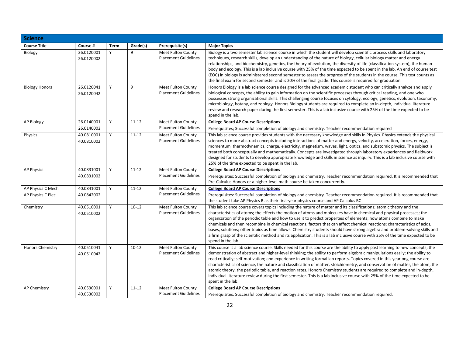| <b>Science</b>          |                          |             |           |                                                          |                                                                                                                                                                                                                                                                                                                                                                                                                                                                                                                                                                                                                                                                                                                                                                                                           |
|-------------------------|--------------------------|-------------|-----------|----------------------------------------------------------|-----------------------------------------------------------------------------------------------------------------------------------------------------------------------------------------------------------------------------------------------------------------------------------------------------------------------------------------------------------------------------------------------------------------------------------------------------------------------------------------------------------------------------------------------------------------------------------------------------------------------------------------------------------------------------------------------------------------------------------------------------------------------------------------------------------|
| <b>Course Title</b>     | Course #                 | <b>Term</b> | Grade(s)  | Prerequisite(s)                                          | <b>Major Topics</b>                                                                                                                                                                                                                                                                                                                                                                                                                                                                                                                                                                                                                                                                                                                                                                                       |
| Biology                 | 26.0120001<br>26.0120002 | Y           | 9         | <b>Meet Fulton County</b><br><b>Placement Guidelines</b> | Biology is a two semester lab science course in which the student will develop scientific process skills and laboratory<br>techniques, research skills, develop an understanding of the nature of biology, cellular biology matter and energy<br>relationships, and biochemistry, genetics, the theory of evolution, the diversity of life (classification system), the human<br>body and ecology. This is a lab inclusive course with 25% of the time expected to be spent in the lab. An end of course test<br>(EOC) in biology is administered second semester to assess the progress of the students in the course. This test counts as<br>the final exam for second semester and is 20% of the final grade. This course is required for graduation.                                                  |
| <b>Biology Honors</b>   | 26.0120041<br>26.0120042 | Y           | 9         | <b>Meet Fulton County</b><br><b>Placement Guidelines</b> | Honors Biology is a lab science course designed for the advanced academic student who can critically analyze and apply<br>biological concepts, the ability to gain information on the scientific processes through critical reading, and one who<br>possesses strong organizational skills. This challenging course focuses on cytology, ecology, genetics, evolution, taxonomy,<br>microbiology, botany, and zoology. Honors Biology students are required to complete an in-depth, individual literature<br>review and research paper during the first semester. This is a lab inclusive course with 25% of the time expected to be<br>spend in the lab.                                                                                                                                                |
| <b>AP Biology</b>       | 26.0140001<br>26.0140002 | Υ           | $11 - 12$ | <b>Meet Fulton County</b><br><b>Placement Guidelines</b> | <b>College Board AP Course Descriptions</b><br>Prerequisites; Successful completion of biology and chemistry. Teacher recommendation required                                                                                                                                                                                                                                                                                                                                                                                                                                                                                                                                                                                                                                                             |
| Physics                 | 40.0810001<br>40.0810002 | Y           | $11 - 12$ | <b>Meet Fulton County</b><br><b>Placement Guidelines</b> | This lab science course provides students with the necessary knowledge and skills in Physics. Physics extends the physical<br>sciences to more abstract concepts including interactions of matter and energy, velocity, acceleration, forces, energy,<br>momentum, thermodynamics, charge, electricity, magnetism, waves, light, optics, and subatomic physics. The subject is<br>treated both conceptually and mathematically. Concepts are investigated through laboratory experiences and fieldwork<br>designed for students to develop appropriate knowledge and skills in science as inquiry. This is a lab inclusive course with<br>25% of the time expected to be spent in the lab.                                                                                                                |
| <b>AP Physics I</b>     | 40.0831001               | Y           | $11 - 12$ | <b>Meet Fulton County</b>                                | <b>College Board AP Course Descriptions</b>                                                                                                                                                                                                                                                                                                                                                                                                                                                                                                                                                                                                                                                                                                                                                               |
|                         | 40.0831002               |             |           | <b>Placement Guidelines</b>                              | Prerequisites: Successful completion of biology and chemistry. Teacher recommendation required. It is recommended that<br>Pre-Calculus Honors or a higher-level math course be taken concurrently.                                                                                                                                                                                                                                                                                                                                                                                                                                                                                                                                                                                                        |
| AP Physics C Mech       | 40.0841001               | Y           | $11 - 12$ | Meet Fulton County                                       | <b>College Board AP Course Descriptions</b>                                                                                                                                                                                                                                                                                                                                                                                                                                                                                                                                                                                                                                                                                                                                                               |
| AP Physics C Elec       | 40.0842002               |             |           | <b>Placement Guidelines</b>                              | Prerequisites: Successful completion of biology and chemistry. Teacher recommendation required. It is recommended that<br>the student take AP Physics B as their first-year physics course and AP Calculus BC                                                                                                                                                                                                                                                                                                                                                                                                                                                                                                                                                                                             |
| Chemistry               | 40.0510001<br>40.0510002 | Y           | $10 - 12$ | <b>Meet Fulton County</b><br><b>Placement Guidelines</b> | This lab science course covers topics including the nature of matter and its classifications; atomic theory and the<br>characteristics of atoms; the effects the motion of atoms and molecules have in chemical and physical processes; the<br>organization of the periodic table and how to use it to predict properties of elements; how atoms combine to make<br>chemicals and then recombine in chemical reactions; factors that can affect chemical reactions; characteristics of acids,<br>bases, solutions; other topics as time allows. Chemistry students should have strong algebra and problem-solving skills and<br>a firm grasp of the scientific method and its application. This is a lab inclusive course with 25% of the time expected to be<br>spend in the lab.                        |
| <b>Honors Chemistry</b> | 40.0510041<br>40.0510042 | Y           | $10 - 12$ | Meet Fulton County<br><b>Placement Guidelines</b>        | This course is a lab science course. Skills needed for this course are the ability to apply past learning to new concepts; the<br>demonstration of abstract and higher-level thinking; the ability to perform algebraic manipulations easily; the ability to<br>read critically; self-motivation; and experience in writing formal lab reports. Topics covered in this yearlong course are<br>characteristics of science, the nature and classification of matter, stoichiometry, and conservation of matter, the atom, the<br>atomic theory, the periodic table, and reaction rates. Honors Chemistry students are required to complete and in-depth,<br>individual literature review during the first semester. This is a lab inclusive course with 25% of the time expected to be<br>spent in the lab. |
| <b>AP Chemistry</b>     | 40.0530001<br>40.0530002 | Y           | $11 - 12$ | Meet Fulton County<br><b>Placement Guidelines</b>        | <b>College Board AP Course Descriptions</b><br>Prerequisites: Successful completion of biology and chemistry. Teacher recommendation required.                                                                                                                                                                                                                                                                                                                                                                                                                                                                                                                                                                                                                                                            |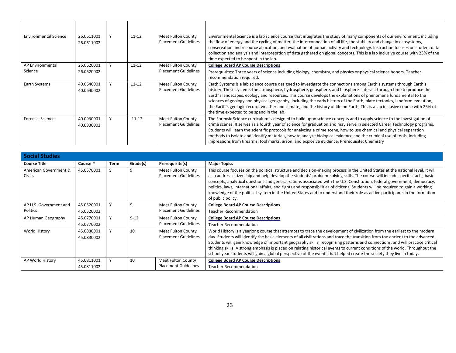| <b>Environmental Science</b> | 26.0611001<br>26.0611002 | $11 - 12$ | Meet Fulton County<br><b>Placement Guidelines</b> | Environmental Science is a lab science course that integrates the study of many components of our environment, including<br>the flow of energy and the cycling of matter, the interconnection of all life, the stability and change in ecosystems,<br>conservation and resource allocation, and evaluation of human activity and technology. Instruction focuses on student data<br>collection and analysis and interpretation of data gathered on global concepts. This is a lab inclusive course with 25% of the<br>time expected to be spent in the lab.                                                                                                               |
|------------------------------|--------------------------|-----------|---------------------------------------------------|---------------------------------------------------------------------------------------------------------------------------------------------------------------------------------------------------------------------------------------------------------------------------------------------------------------------------------------------------------------------------------------------------------------------------------------------------------------------------------------------------------------------------------------------------------------------------------------------------------------------------------------------------------------------------|
| AP Environmental             | 26.0620001               | $11 - 12$ | Meet Fulton County                                | <b>College Board AP Course Descriptions</b>                                                                                                                                                                                                                                                                                                                                                                                                                                                                                                                                                                                                                               |
| Science                      | 26.0620002               |           | <b>Placement Guidelines</b>                       | Prerequisites: Three years of science including biology, chemistry, and physics or physical science honors. Teacher<br>recommendation required.                                                                                                                                                                                                                                                                                                                                                                                                                                                                                                                           |
| Earth Systems                | 40.0640001<br>40.0640002 | $11 - 12$ | Meet Fulton County<br><b>Placement Guidelines</b> | Earth Systems is a lab science course designed to investigate the connections among Earth's systems through Earth's<br>history. These systems-the atmosphere, hydrosphere, geosphere, and biosphere-interact through time to produce the<br>Earth's landscapes, ecology and resources. This course develops the explanations of phenomena fundamental to the<br>sciences of geology and physical geography, including the early history of the Earth, plate tectonics, landform evolution,<br>the Earth's geologic record, weather and climate, and the history of life on Earth. This is a lab inclusive course with 25% of<br>the time expected to be spend in the lab. |
| <b>Forensic Science</b>      | 40.0930001<br>40.0930002 | $11 - 12$ | Meet Fulton County<br><b>Placement Guidelines</b> | The Forensic Science curriculum is designed to build upon science concepts and to apply science to the investigation of<br>crime scenes. It serves as a fourth year of science for graduation and may serve in selected Career Technology programs.<br>Students will learn the scientific protocols for analyzing a crime scene, how to use chemical and physical separation<br>methods to isolate and identify materials, how to analyze biological evidence and the criminal use of tools, including<br>impressions from firearms, tool marks, arson, and explosive evidence. Prerequisite: Chemistry                                                                   |

| <b>Social Studies</b>                  |                          |      |          |                                                   |                                                                                                                                                                                                                                                                                                                                                                                                                                                                                                                                                                                                                                                                                    |
|----------------------------------------|--------------------------|------|----------|---------------------------------------------------|------------------------------------------------------------------------------------------------------------------------------------------------------------------------------------------------------------------------------------------------------------------------------------------------------------------------------------------------------------------------------------------------------------------------------------------------------------------------------------------------------------------------------------------------------------------------------------------------------------------------------------------------------------------------------------|
| <b>Course Title</b>                    | Course #                 | Term | Grade(s) | Prerequisite(s)                                   | <b>Major Topics</b>                                                                                                                                                                                                                                                                                                                                                                                                                                                                                                                                                                                                                                                                |
| American Government &<br><b>Civics</b> | 45.0570001               |      | q        | Meet Fulton County<br><b>Placement Guidelines</b> | This course focuses on the political structure and decision-making process in the United States at the national level. It will<br>also address citizenship and help develop the students' problem-solving skills. The course will include specific facts, basic<br>concepts, analytical questions and generalizations associated with the U.S. Constitution, federal government, democracy,<br>politics, laws, international affairs, and rights and responsibilities of citizens. Students will be required to gain a working<br>knowledge of the political system in the United States and to understand their role as active participants in the formation<br>of public policy. |
| AP U.S. Government and                 | 45.0520001               |      | 9        | Meet Fulton County                                | <b>College Board AP Course Descriptions</b>                                                                                                                                                                                                                                                                                                                                                                                                                                                                                                                                                                                                                                        |
| Politics                               | 45.0520002               |      |          | <b>Placement Guidelines</b>                       | <b>Teacher Recommendation</b>                                                                                                                                                                                                                                                                                                                                                                                                                                                                                                                                                                                                                                                      |
| AP Human Geography                     | 45.0770001               |      | $9 - 12$ | Meet Fulton County                                | <b>College Board AP Course Descriptions</b>                                                                                                                                                                                                                                                                                                                                                                                                                                                                                                                                                                                                                                        |
|                                        | 45.0770002               |      |          | <b>Placement Guidelines</b>                       | <b>Teacher Recommendation</b>                                                                                                                                                                                                                                                                                                                                                                                                                                                                                                                                                                                                                                                      |
| World History                          | 45.0830001<br>45.0830002 |      | 10       | Meet Fulton County<br><b>Placement Guidelines</b> | World History is a yearlong course that attempts to trace the development of civilization from the earliest to the modern<br>day. Students will identify the basic elements of all civilizations and trace the transition from the ancient to the advanced.<br>Students will gain knowledge of important geography skills, recognizing patterns and connections, and will practice critical<br>thinking skills. A strong emphasis is placed on relating historical events to current conditions of the world. Throughout the<br>school year students will gain a global perspective of the events that helped create the society they live in today.                               |
| AP World History                       | 45.0811001               |      | 10       | Meet Fulton County                                | <b>College Board AP Course Descriptions</b>                                                                                                                                                                                                                                                                                                                                                                                                                                                                                                                                                                                                                                        |
|                                        | 45.0811002               |      |          | <b>Placement Guidelines</b>                       | <b>Teacher Recommendation</b>                                                                                                                                                                                                                                                                                                                                                                                                                                                                                                                                                                                                                                                      |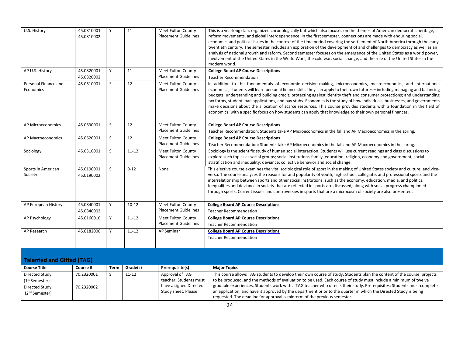| U.S. History                      | 45.0810001<br>45.0810002 | Y  | 11        | <b>Meet Fulton County</b><br><b>Placement Guidelines</b> | This is a yearlong class organized chronologically but which also focuses on the themes of American democratic heritage,<br>reform movements, and global interdependence. In the first semester, connections are made with enduring social,<br>economic, and political issues in the context of the time period covering the settlement of North America through the early<br>twentieth century. The semester includes an exploration of the development of and challenges to democracy as well as an<br>analysis of national growth and reform. Second semester focuses on the emergence of the United States as a world power,<br>involvement of the United States in the World Wars, the cold war, social change, and the role of the United States in the<br>modern world. |
|-----------------------------------|--------------------------|----|-----------|----------------------------------------------------------|--------------------------------------------------------------------------------------------------------------------------------------------------------------------------------------------------------------------------------------------------------------------------------------------------------------------------------------------------------------------------------------------------------------------------------------------------------------------------------------------------------------------------------------------------------------------------------------------------------------------------------------------------------------------------------------------------------------------------------------------------------------------------------|
| AP U.S. History                   | 45.0820001<br>45.0820002 | Y  | 11        | Meet Fulton County<br><b>Placement Guidelines</b>        | <b>College Board AP Course Descriptions</b><br><b>Teacher Recommendation</b>                                                                                                                                                                                                                                                                                                                                                                                                                                                                                                                                                                                                                                                                                                   |
| Personal Finance and<br>Economics | 45.0610001               | S. | 12        | <b>Meet Fulton County</b><br><b>Placement Guidelines</b> | In addition to the fundamentals of economic decision-making, microeconomics, macroeconomics, and international<br>economics, students will learn personal finance skills they can apply to their own futures - including managing and balancing<br>budgets; understanding and building credit; protecting against identity theft and consumer protections; and understanding<br>tax forms, student loan applications, and pay stubs. Economics is the study of how individuals, businesses, and governments<br>make decisions about the allocation of scarce resources. This course provides students with a foundation in the field of<br>economics, with a specific focus on how students can apply that knowledge to their own personal finances.                           |
| AP Microeconomics                 | 45.0630001               | S. | 12        | Meet Fulton County<br><b>Placement Guidelines</b>        | <b>College Board AP Course Descriptions</b><br>Teacher Recommendation; Students take AP Microeconomics in the fall and AP Macroeconomics in the spring.                                                                                                                                                                                                                                                                                                                                                                                                                                                                                                                                                                                                                        |
| AP Macroeconomics                 | 45.0620001               | S. | 12        | <b>Meet Fulton County</b><br><b>Placement Guidelines</b> | <b>College Board AP Course Descriptions</b><br>Teacher Recommendation; Students take AP Microeconomics in the fall and AP Macroeconomics in the spring.                                                                                                                                                                                                                                                                                                                                                                                                                                                                                                                                                                                                                        |
| Sociology                         | 45.0310001               | S. | $11 - 12$ | Meet Fulton County<br><b>Placement Guidelines</b>        | Sociology is the scientific study of human social interaction. Students will use current readings and class discussions to<br>explore such topics as social groups; social institutions-family, education, religion, economy and government; social<br>stratification and inequality; deviance; collective behavior and social change.                                                                                                                                                                                                                                                                                                                                                                                                                                         |
| Sports in American<br>Society     | 45.0190001<br>45.0190002 | S. | $9 - 12$  | None                                                     | This elective course examines the vital sociological role of sport in the making of United States society and culture, and vice-<br>versa. The course analyzes the reasons for and popularity of youth, high school, collegiate, and professional sports and the<br>interrelationship between sports and other social institutions, such as the economy, education, media, and politics.<br>Inequalities and deviance in society that are reflected in sports are discussed, along with social progress championed<br>through sports. Current issues and controversies in sports that are a microcosm of society are also presented.                                                                                                                                           |
| AP European History               | 45.0840001<br>45.0840002 | Y  | $10 - 12$ | <b>Meet Fulton County</b><br><b>Placement Guidelines</b> | <b>College Board AP Course Descriptions</b><br><b>Teacher Recommendation</b>                                                                                                                                                                                                                                                                                                                                                                                                                                                                                                                                                                                                                                                                                                   |
| AP Psychology                     | 45.0160010               | Y  | $11 - 12$ | Meet Fulton County<br><b>Placement Guidelines</b>        | <b>College Board AP Course Descriptions</b><br><b>Teacher Recommendation</b>                                                                                                                                                                                                                                                                                                                                                                                                                                                                                                                                                                                                                                                                                                   |
| AP Research                       | 45.0182000               | Y  | $11 - 12$ | AP Seminar                                               | <b>College Board AP Course Descriptions</b><br><b>Teacher Recommendation</b>                                                                                                                                                                                                                                                                                                                                                                                                                                                                                                                                                                                                                                                                                                   |
|                                   |                          |    |           |                                                          |                                                                                                                                                                                                                                                                                                                                                                                                                                                                                                                                                                                                                                                                                                                                                                                |

### **Talented and Gifted (TAG)**

| <b>Course Title</b>        | Course #   | Term | Grade(s)  | Prerequisite(s)        | <b>Major Topics</b>                                                                                                     |
|----------------------------|------------|------|-----------|------------------------|-------------------------------------------------------------------------------------------------------------------------|
| Directed Study             | 70.2320001 |      | $11 - 12$ | Approval of TAG        | This course allows TAG students to develop their own course of study. Students plan the content of the course, projects |
| (1 <sup>st</sup> Semester) |            |      |           | teacher. Students must | to be produced, and the methods of evaluation to be used. Each course of study must include a minimum of twelve         |
| Directed Study             | 70.2320002 |      |           | have a signed Directed | gradable experiences. Students work with a TAG teacher who directs their study. Prerequisites: Students must complete   |
| (2 <sup>nd</sup> Semester) |            |      |           | Study sheet. Please    | an application, and have it approved by the department prior to the quarter in which the Directed Study is being        |
|                            |            |      |           |                        | requested. The deadline for approval is midterm of the previous semester.                                               |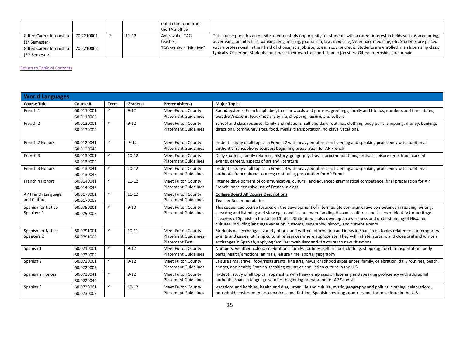|                                                                                                                         |                          |       | obtain the form from<br>the TAG office               |                                                                                                                                                                                                                                                                                                                                                                                                                                                                                                                             |
|-------------------------------------------------------------------------------------------------------------------------|--------------------------|-------|------------------------------------------------------|-----------------------------------------------------------------------------------------------------------------------------------------------------------------------------------------------------------------------------------------------------------------------------------------------------------------------------------------------------------------------------------------------------------------------------------------------------------------------------------------------------------------------------|
| Gifted Career Internship<br>(1 <sup>st</sup> Semester)<br><b>Gifted Career Internship</b><br>(2 <sup>nd</sup> Semester) | 70.2210001<br>70.2210002 | 11-12 | Approval of TAG<br>teacher;<br>TAG seminar "Hire Me" | This course provides an on-site, mentor study opportunity for students with a career interest in fields such as accounting,<br>advertising, architecture, banking, engineering, journalism, law, medicine, Veterinary medicine, etc. Students are placed<br>with a professional in their field of choice, at a job site, to earn course credit. Students are enrolled in an Internship class,<br>typically 7 <sup>th</sup> period. Students must have their own transportation to job sites. Gifted internships are unpaid. |

| <b>World Languages</b>            |                          |             |           |                                                                                    |                                                                                                                                                                                                                                                                                                                                                                                                                                                        |  |
|-----------------------------------|--------------------------|-------------|-----------|------------------------------------------------------------------------------------|--------------------------------------------------------------------------------------------------------------------------------------------------------------------------------------------------------------------------------------------------------------------------------------------------------------------------------------------------------------------------------------------------------------------------------------------------------|--|
| <b>Course Title</b>               | Course #                 | <b>Term</b> | Grade(s)  | Prerequisite(s)                                                                    | <b>Major Topics</b>                                                                                                                                                                                                                                                                                                                                                                                                                                    |  |
| French 1                          | 60.0110001<br>60.0110002 | Y           | $9 - 12$  | Meet Fulton County<br><b>Placement Guidelines</b>                                  | Sound systems, French alphabet, familiar words and phrases, greetings, family and friends, numbers and time, dates,<br>weather/seasons, food/meals, city life, shopping, leisure, and culture.                                                                                                                                                                                                                                                         |  |
| French 2                          | 60.0120001<br>60.0120002 | Y           | $9 - 12$  | Meet Fulton County<br><b>Placement Guidelines</b>                                  | School and class routines, family and relations, self and daily routines, clothing, body parts, shopping, money, banking,<br>directions, community sites, food, meals, transportation, holidays, vacations.                                                                                                                                                                                                                                            |  |
| French 2 Honors                   | 60.0120041<br>60.0120042 | Y           | $9 - 12$  | <b>Meet Fulton County</b><br><b>Placement Guidelines</b>                           | In-depth study of all topics in French 2 with heavy emphasis on listening and speaking proficiency with additional<br>authentic francophone sources; beginning preparation for AP French                                                                                                                                                                                                                                                               |  |
| French 3                          | 60.0130001<br>60.0130002 | Y           | $10 - 12$ | Meet Fulton County<br><b>Placement Guidelines</b>                                  | Daily routines, family relations, history, geography, travel, accommodations, festivals, leisure time, food, current<br>events, careers, aspects of art and literature                                                                                                                                                                                                                                                                                 |  |
| French 3 Honors                   | 60.0130041<br>60.0130042 | Y           | $10 - 12$ | Meet Fulton County<br><b>Placement Guidelines</b>                                  | In-depth study of all topics in French 3 with heavy emphasis on listening and speaking proficiency with additional<br>authentic francophone sources; continuing preparation for AP French                                                                                                                                                                                                                                                              |  |
| French 4 Honors                   | 60.0140041<br>60.0140042 | Y           | $11 - 12$ | Meet Fulton County<br><b>Placement Guidelines</b>                                  | Intense development of communicative, cultural, and advanced grammatical competence; final preparation for AP<br>French; near-exclusive use of French in class                                                                                                                                                                                                                                                                                         |  |
| AP French Language<br>and Culture | 60.0170001<br>60.0170002 | Y           | $11 - 12$ | Meet Fulton County<br><b>Placement Guidelines</b>                                  | <b>College Board AP Course Descriptions</b><br><b>Teacher Recommendation</b>                                                                                                                                                                                                                                                                                                                                                                           |  |
| Spanish for Native<br>Speakers 1  | 60.0790001<br>60.0790002 | Y           | $9 - 10$  | <b>Meet Fulton County</b><br><b>Placement Guidelines</b>                           | This sequenced course focuses on the development of intermediate communicative competence in reading, writing,<br>speaking and listening and viewing, as well as on understanding Hispanic cultures and issues of identity for heritage<br>speakers of Spanish in the United States. Students will also develop an awareness and understanding of Hispanic<br>cultures, including language variation, customs, geography, history, and current events. |  |
| Spanish for Native<br>Speakers 2  | 60.0791001<br>60.0791002 | Y           | $10 - 11$ | <b>Meet Fulton County</b><br><b>Placement Guidelines;</b><br><b>Placement Test</b> | Students will exchange a variety of oral and written information and ideas in Spanish on topics related to contemporary<br>events and issues, utilizing cultural references where appropriate. They will initiate, sustain, and close oral and written<br>exchanges in Spanish, applying familiar vocabulary and structures to new situations.                                                                                                         |  |
| Spanish 1                         | 60.0710001<br>60.0720002 | Y           | $9 - 12$  | Meet Fulton County<br><b>Placement Guidelines</b>                                  | Numbers, weather, colors, celebrations, family, routines, self, school, clothing, shopping, food, transportation, body<br>parts, health/emotions, animals, leisure time, sports, geography                                                                                                                                                                                                                                                             |  |
| Spanish 2                         | 60.0720001<br>60.0720002 | Y           | $9 - 12$  | <b>Meet Fulton County</b><br><b>Placement Guidelines</b>                           | Leisure time, travel, food/restaurants, fine arts, news, childhood experiences, family, celebration, daily routines, beach,<br>chores, and health; Spanish-speaking countries and Latino culture in the U.S.                                                                                                                                                                                                                                           |  |
| Spanish 2 Honors                  | 60.0720041<br>60.0720042 | Y           | $9 - 12$  | Meet Fulton County<br><b>Placement Guidelines</b>                                  | In-depth study of all topics in Spanish 2 with heavy emphasis on listening and speaking proficiency with additional<br>authentic Spanish-language sources; beginning preparation for AP Spanish                                                                                                                                                                                                                                                        |  |
| Spanish 3                         | 60.0730001<br>60.0730002 | Y           | $10 - 12$ | <b>Meet Fulton County</b><br><b>Placement Guidelines</b>                           | Vacations and hobbies, health and diet, urban life and culture, music, geography and politics, clothing, celebrations,<br>household, environment, occupations, and fashion; Spanish-speaking countries and Latino culture in the U.S.                                                                                                                                                                                                                  |  |